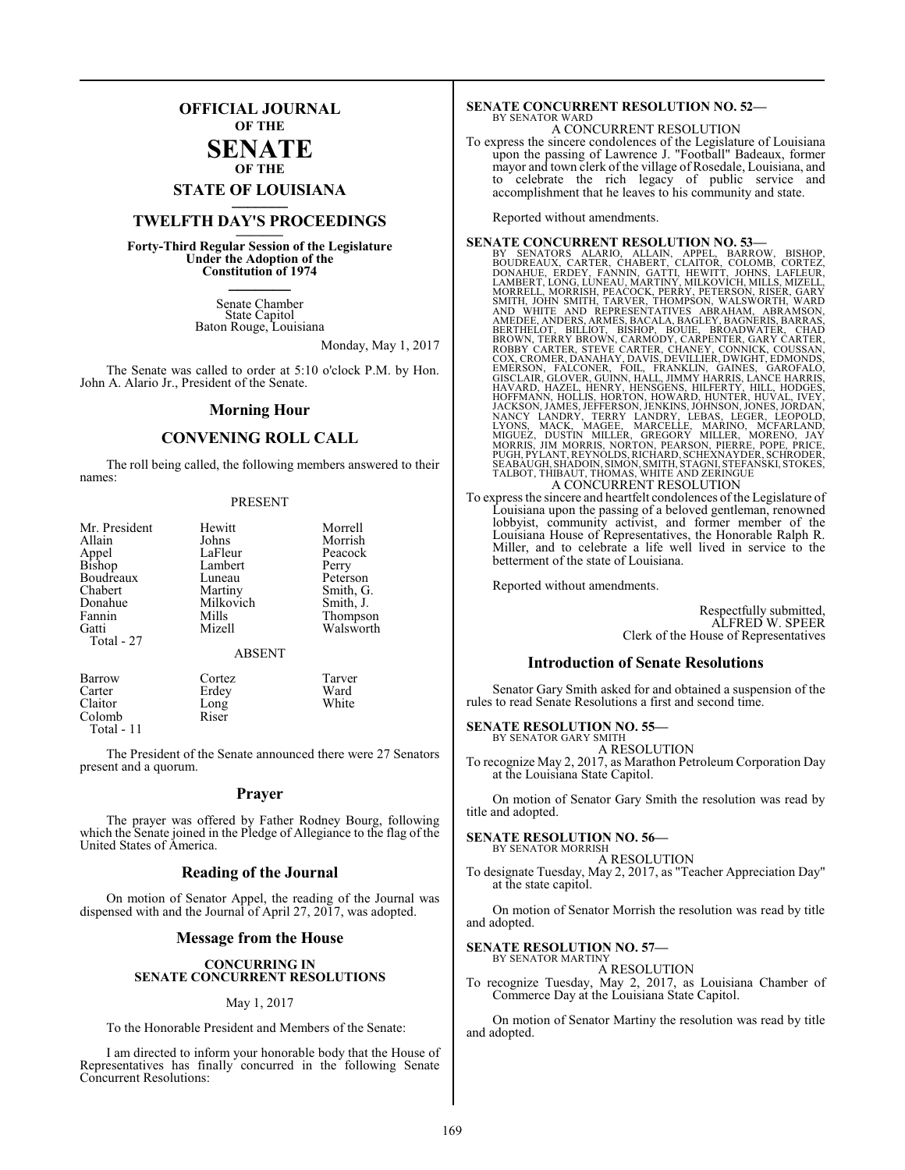## **OFFICIAL JOURNAL OF THE**

#### **SENATE OF THE**

# **STATE OF LOUISIANA \_\_\_\_\_\_\_**

## **TWELFTH DAY'S PROCEEDINGS \_\_\_\_\_\_\_**

**Forty-Third Regular Session of the Legislature Under the Adoption of the Constitution of 1974 \_\_\_\_\_\_\_**

> Senate Chamber State Capitol Baton Rouge, Louisiana

> > Monday, May 1, 2017

The Senate was called to order at 5:10 o'clock P.M. by Hon. John A. Alario Jr., President of the Senate.

#### **Morning Hour**

#### **CONVENING ROLL CALL**

The roll being called, the following members answered to their names:

#### PRESENT

| Mr. President   | Hewitt        | Morrell   |
|-----------------|---------------|-----------|
| Allain          | Johns         | Morrish   |
| Appel<br>Bishop | LaFleur       | Peacock   |
| Boudreaux       | Lambert       | Perry     |
| Chabert         | Luneau        | Peterson  |
| Donahue         | Martiny       | Smith, G. |
| Fannin          | Milkovich     | Smith, J. |
| Gatti           | Mills         | Thompson  |
| Total - 27      | Mizell        | Walsworth |
|                 | <b>ABSENT</b> |           |
| Barrow          | Cortez        | Tarver    |
| Carter          | Erdey         | Ward      |

Claitor Long White<br>
Colomb Riser White

Colomb Total - 11

The President of the Senate announced there were 27 Senators present and a quorum.

#### **Prayer**

The prayer was offered by Father Rodney Bourg, following which the Senate joined in the Pledge of Allegiance to the flag of the United States of America.

#### **Reading of the Journal**

On motion of Senator Appel, the reading of the Journal was dispensed with and the Journal of April 27, 2017, was adopted.

#### **Message from the House**

#### **CONCURRING IN SENATE CONCURRENT RESOLUTIONS**

#### May 1, 2017

To the Honorable President and Members of the Senate:

I am directed to inform your honorable body that the House of Representatives has finally concurred in the following Senate Concurrent Resolutions:

#### **SENATE CONCURRENT RESOLUTION NO. 52—** BY SENATOR WARD

## A CONCURRENT RESOLUTION

To express the sincere condolences of the Legislature of Louisiana upon the passing of Lawrence J. "Football" Badeaux, former mayor and town clerk of the village of Rosedale, Louisiana, and to celebrate the rich legacy of public service and accomplishment that he leaves to his community and state.

Reported without amendments.

- **SENATE CONCURRENT RESOLUTION NO. 53—**<br>BY SENATORS ALARIO, ALLAIN, APPEL, BARROW, BUSHOP, BOUDREAUX, CARTER, CHABERT, CLAITOR, COLOMB, CORTEZ,<br>DONAHUE, ERDEY, FANNIN, GATTI, HEWITT, JOHNS, LAMBERT, LONG, LUNEAU, MARTIN, MI
- To express the sincere and heartfelt condolences of the Legislature of Louisiana upon the passing of a beloved gentleman, renowned lobbyist, community activist, and former member of the Louisiana House of Representatives, the Honorable Ralph R. Miller, and to celebrate a life well lived in service to the betterment of the state of Louisiana.

Reported without amendments.

Respectfully submitted, ALFRED W. SPEER Clerk of the House of Representatives

#### **Introduction of Senate Resolutions**

Senator Gary Smith asked for and obtained a suspension of the rules to read Senate Resolutions a first and second time.

#### **SENATE RESOLUTION NO. 55—**

BY SENATOR GARY SMITH A RESOLUTION

To recognize May 2, 2017, as Marathon Petroleum Corporation Day at the Louisiana State Capitol.

On motion of Senator Gary Smith the resolution was read by title and adopted.

#### **SENATE RESOLUTION NO. 56—**

BY SENATOR MORRISH A RESOLUTION

To designate Tuesday, May 2, 2017, as "Teacher Appreciation Day" at the state capitol.

On motion of Senator Morrish the resolution was read by title and adopted.

#### **SENATE RESOLUTION NO. 57—**

BY SENATOR MARTINY A RESOLUTION

To recognize Tuesday, May 2, 2017, as Louisiana Chamber of Commerce Day at the Louisiana State Capitol.

On motion of Senator Martiny the resolution was read by title and adopted.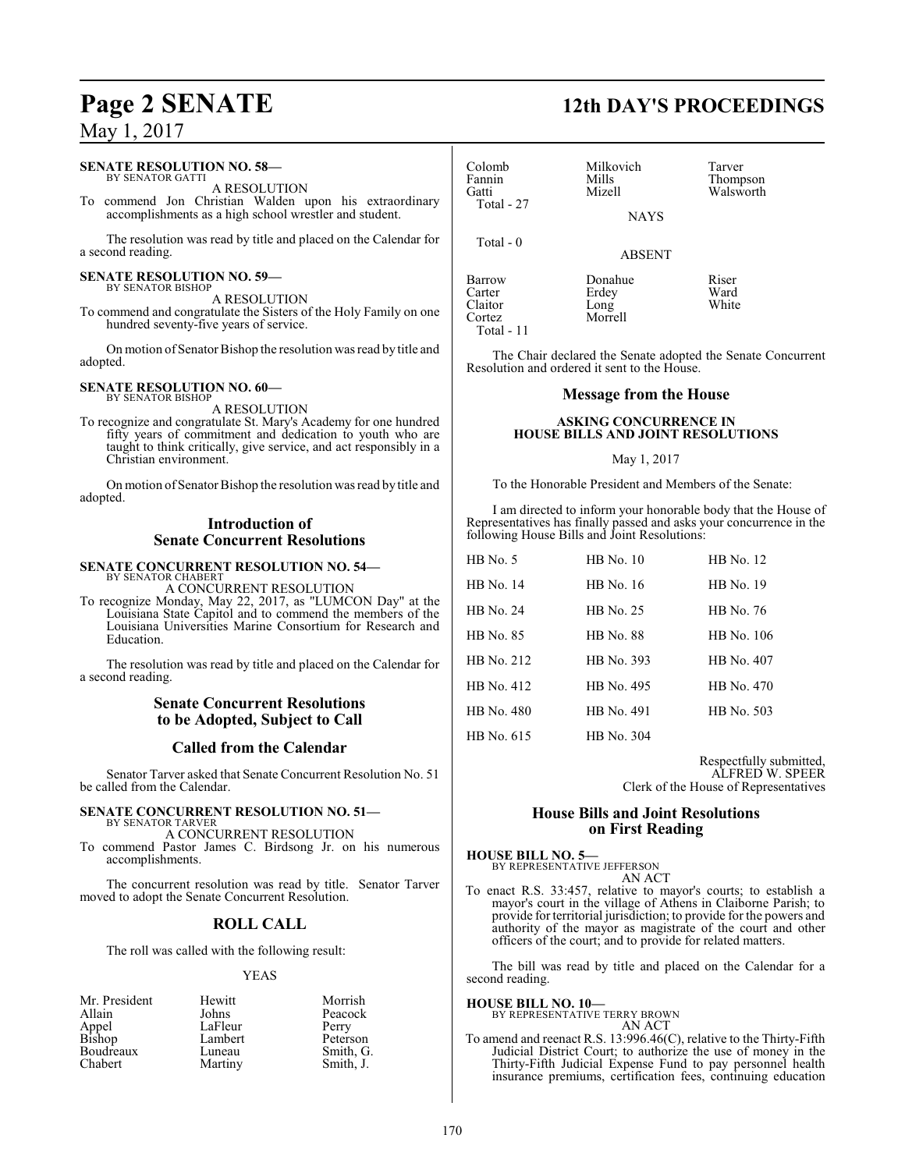#### **SENATE RESOLUTION NO. 58—**

BY SENATOR GATTI A RESOLUTION

To commend Jon Christian Walden upon his extraordinary accomplishments as a high school wrestler and student.

The resolution was read by title and placed on the Calendar for a second reading.

#### **SENATE RESOLUTION NO. 59—** BY SENATOR BISHOP

A RESOLUTION

To commend and congratulate the Sisters of the Holy Family on one hundred seventy-five years of service.

On motion of Senator Bishop the resolution was read by title and adopted.

#### **SENATE RESOLUTION NO. 60—**

BY SENATOR BISHOP A RESOLUTION

To recognize and congratulate St. Mary's Academy for one hundred fifty years of commitment and dedication to youth who are taught to think critically, give service, and act responsibly in a Christian environment.

On motion of Senator Bishop the resolution was read by title and adopted.

#### **Introduction of Senate Concurrent Resolutions**

#### **SENATE CONCURRENT RESOLUTION NO. 54—** BY SENATOR CHABERT

A CONCURRENT RESOLUTION

To recognize Monday, May 22, 2017, as "LUMCON Day" at the Louisiana State Capitol and to commend the members of the Louisiana Universities Marine Consortium for Research and Education.

The resolution was read by title and placed on the Calendar for a second reading.

#### **Senate Concurrent Resolutions to be Adopted, Subject to Call**

#### **Called from the Calendar**

Senator Tarver asked that Senate Concurrent Resolution No. 51 be called from the Calendar.

#### **SENATE CONCURRENT RESOLUTION NO. 51—** BY SENATOR TARVER

A CONCURRENT RESOLUTION To commend Pastor James C. Birdsong Jr. on his numerous accomplishments.

The concurrent resolution was read by title. Senator Tarver moved to adopt the Senate Concurrent Resolution.

## **ROLL CALL**

The roll was called with the following result:

#### YEAS

| Mr. President   | Hewitt  | Morrish   |
|-----------------|---------|-----------|
| Allain          | Johns   | Peacock   |
|                 | LaFleur | Perry     |
| Appel<br>Bishop | Lambert | Peterson  |
| Boudreaux       | Luneau  | Smith, G. |
| Chabert         | Martiny | Smith, J. |

# **Page 2 SENATE 12th DAY'S PROCEEDINGS**

| Colomb<br>Fannin<br>Gatti<br>Total - 27 | Milkovich<br>Mills<br>Mizell<br><b>NAYS</b> | Tarver<br>Thompson<br>Walsworth |
|-----------------------------------------|---------------------------------------------|---------------------------------|
| Total - 0                               | <b>ABSENT</b>                               |                                 |
| Barrow<br>Carter<br>Claitor             | Donahue<br>Erdey<br>Long                    | Riser<br>Ward<br>White          |

Cortez Morrell

Total - 11

The Chair declared the Senate adopted the Senate Concurrent Resolution and ordered it sent to the House.

#### **Message from the House**

#### **ASKING CONCURRENCE IN HOUSE BILLS AND JOINT RESOLUTIONS**

#### May 1, 2017

To the Honorable President and Members of the Senate:

I am directed to inform your honorable body that the House of Representatives has finally passed and asks your concurrence in the following House Bills and Joint Resolutions:

| $HB$ No. 5       | $HB$ No. 10      | HB No. 12        |
|------------------|------------------|------------------|
| <b>HB</b> No. 14 | HB No. 16        | <b>HB</b> No. 19 |
| <b>HB</b> No. 24 | HB No. 25        | HB No. 76        |
| HB No. 85        | <b>HB</b> No. 88 | HB No. 106       |
| HB No. 212       | HB No. 393       | HB No. 407       |
| HB No. 412       | HB No. 495       | HB No. 470       |
| HB No. 480       | HB No. 491       | HB No. 503       |
| HB No. 615       | HB No. 304       |                  |

Respectfully submitted, ALFRED W. SPEER Clerk of the House of Representatives

#### **House Bills and Joint Resolutions on First Reading**

**HOUSE BILL NO. 5—** BY REPRESENTATIVE JEFFERSON

AN ACT

To enact R.S. 33:457, relative to mayor's courts; to establish a mayor's court in the village of Athens in Claiborne Parish; to provide for territorial jurisdiction; to provide for the powers and authority of the mayor as magistrate of the court and other officers of the court; and to provide for related matters.

The bill was read by title and placed on the Calendar for a second reading.

**HOUSE BILL NO. 10—** BY REPRESENTATIVE TERRY BROWN

AN ACT

To amend and reenact R.S. 13:996.46(C), relative to the Thirty-Fifth Judicial District Court; to authorize the use of money in the Thirty-Fifth Judicial Expense Fund to pay personnel health insurance premiums, certification fees, continuing education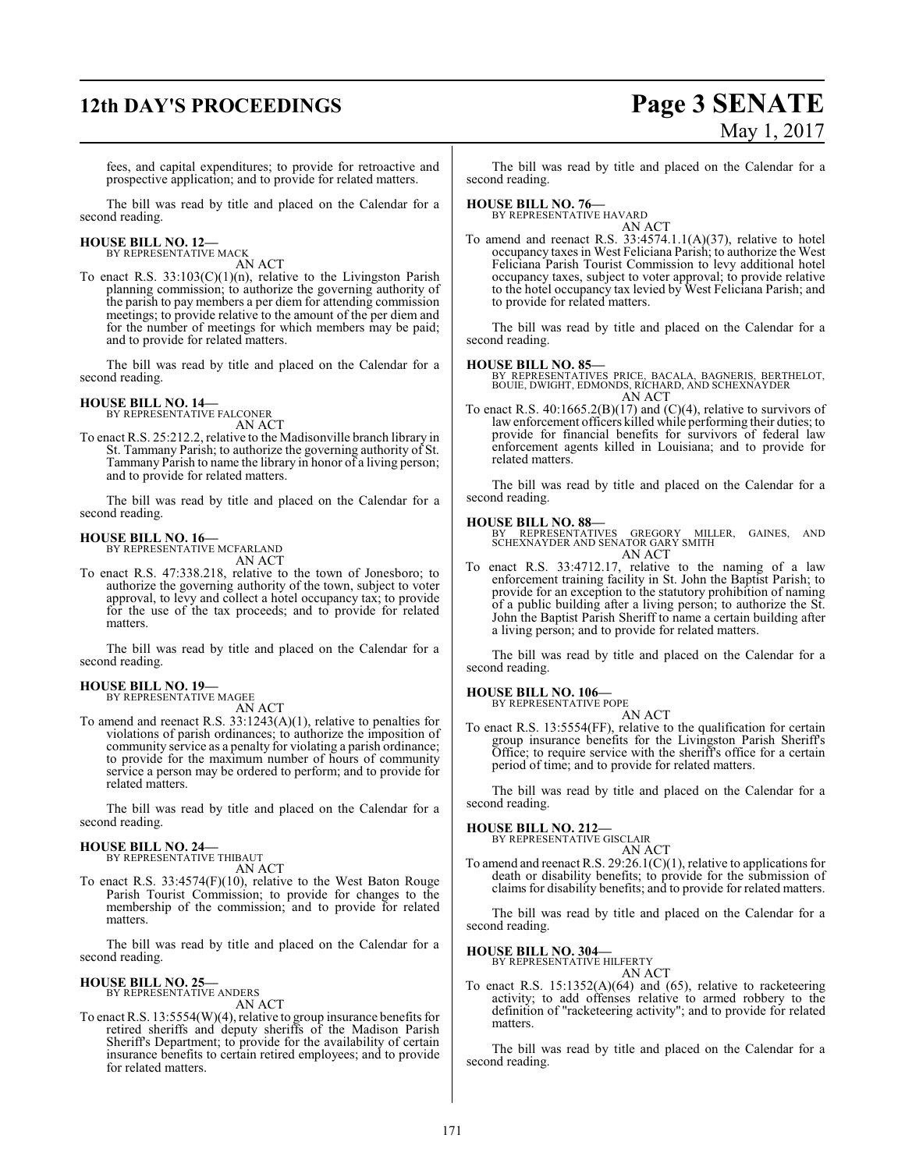# **12th DAY'S PROCEEDINGS Page 3 SENATE** May 1, 2017

fees, and capital expenditures; to provide for retroactive and prospective application; and to provide for related matters.

The bill was read by title and placed on the Calendar for a second reading.

#### **HOUSE BILL NO. 12—** BY REPRESENTATIVE MACK

AN ACT

To enact R.S.  $33:103(C)(1)(n)$ , relative to the Livingston Parish planning commission; to authorize the governing authority of the parish to pay members a per diem for attending commission meetings; to provide relative to the amount of the per diem and for the number of meetings for which members may be paid; and to provide for related matters.

The bill was read by title and placed on the Calendar for a second reading.

# **HOUSE BILL NO. 14—** BY REPRESENTATIVE FALCONER

AN ACT

To enact R.S. 25:212.2, relative to the Madisonville branch library in St. Tammany Parish; to authorize the governing authority of St. Tammany Parish to name the library in honor of a living person; and to provide for related matters.

The bill was read by title and placed on the Calendar for a second reading.

#### **HOUSE BILL NO. 16—**

BY REPRESENTATIVE MCFARLAND AN ACT

To enact R.S. 47:338.218, relative to the town of Jonesboro; to authorize the governing authority of the town, subject to voter approval, to levy and collect a hotel occupancy tax; to provide for the use of the tax proceeds; and to provide for related matters.

The bill was read by title and placed on the Calendar for a second reading.

#### **HOUSE BILL NO. 19—**

BY REPRESENTATIVE MAGEE AN ACT

To amend and reenact R.S. 33:1243(A)(1), relative to penalties for violations of parish ordinances; to authorize the imposition of community service as a penalty for violating a parish ordinance; to provide for the maximum number of hours of community service a person may be ordered to perform; and to provide for related matters.

The bill was read by title and placed on the Calendar for a second reading.

#### **HOUSE BILL NO. 24—** BY REPRESENTATIVE THIBAUT

AN ACT

To enact R.S. 33:4574(F)(10), relative to the West Baton Rouge Parish Tourist Commission; to provide for changes to the membership of the commission; and to provide for related matters.

The bill was read by title and placed on the Calendar for a second reading.

#### **HOUSE BILL NO. 25—** BY REPRESENTATIVE ANDERS

AN ACT

To enact R.S. 13:5554(W)(4), relative to group insurance benefits for retired sheriffs and deputy sheriffs of the Madison Parish Sheriff's Department; to provide for the availability of certain insurance benefits to certain retired employees; and to provide for related matters.

The bill was read by title and placed on the Calendar for a second reading.

### **HOUSE BILL NO. 76—**

BY REPRESENTATIVE HAVARD AN ACT

To amend and reenact R.S. 33:4574.1.1(A)(37), relative to hotel occupancy taxes in West Feliciana Parish; to authorize the West Feliciana Parish Tourist Commission to levy additional hotel occupancy taxes, subject to voter approval; to provide relative to the hotel occupancy tax levied by West Feliciana Parish; and to provide for related matters.

The bill was read by title and placed on the Calendar for a second reading.

#### **HOUSE BILL NO. 85—**

BY REPRESENTATIVES PRICE, BACALA, BAGNERIS, BERTHELOT, BOUIE, DWIGHT, EDMONDS, RICHARD, AND SCHEXNAYDER AN ACT

To enact R.S.  $40:1665.2(B)(17)$  and  $(C)(4)$ , relative to survivors of law enforcement officers killed while performing their duties; to provide for financial benefits for survivors of federal law enforcement agents killed in Louisiana; and to provide for related matters.

The bill was read by title and placed on the Calendar for a second reading.

#### **HOUSE BILL NO. 88—**

BY REPRESENTATIVES GREGORY MILLER, GAINES, AND SCHEXNAYDER AND SENATOR GARY SMITH AN ACT

To enact R.S. 33:4712.17, relative to the naming of a law enforcement training facility in St. John the Baptist Parish; to provide for an exception to the statutory prohibition of naming of a public building after a living person; to authorize the St. John the Baptist Parish Sheriff to name a certain building after a living person; and to provide for related matters.

The bill was read by title and placed on the Calendar for a second reading.

#### **HOUSE BILL NO. 106—**

BY REPRESENTATIVE POPE AN ACT

To enact R.S. 13:5554(FF), relative to the qualification for certain group insurance benefits for the Livingston Parish Sheriff's Office; to require service with the sheriff's office for a certain period of time; and to provide for related matters.

The bill was read by title and placed on the Calendar for a second reading.

## **HOUSE BILL NO. 212—** BY REPRESENTATIVE GISCLAIR

AN ACT

To amend and reenact R.S. 29:26.1(C)(1), relative to applications for death or disability benefits; to provide for the submission of claims for disability benefits; and to provide for related matters.

The bill was read by title and placed on the Calendar for a second reading.

#### **HOUSE BILL NO. 304—**

BY REPRESENTATIVE HILFERTY AN ACT

To enact R.S.  $15:1352(A)(64)$  and  $(65)$ , relative to racketeering activity; to add offenses relative to armed robbery to the definition of "racketeering activity"; and to provide for related matters.

The bill was read by title and placed on the Calendar for a second reading.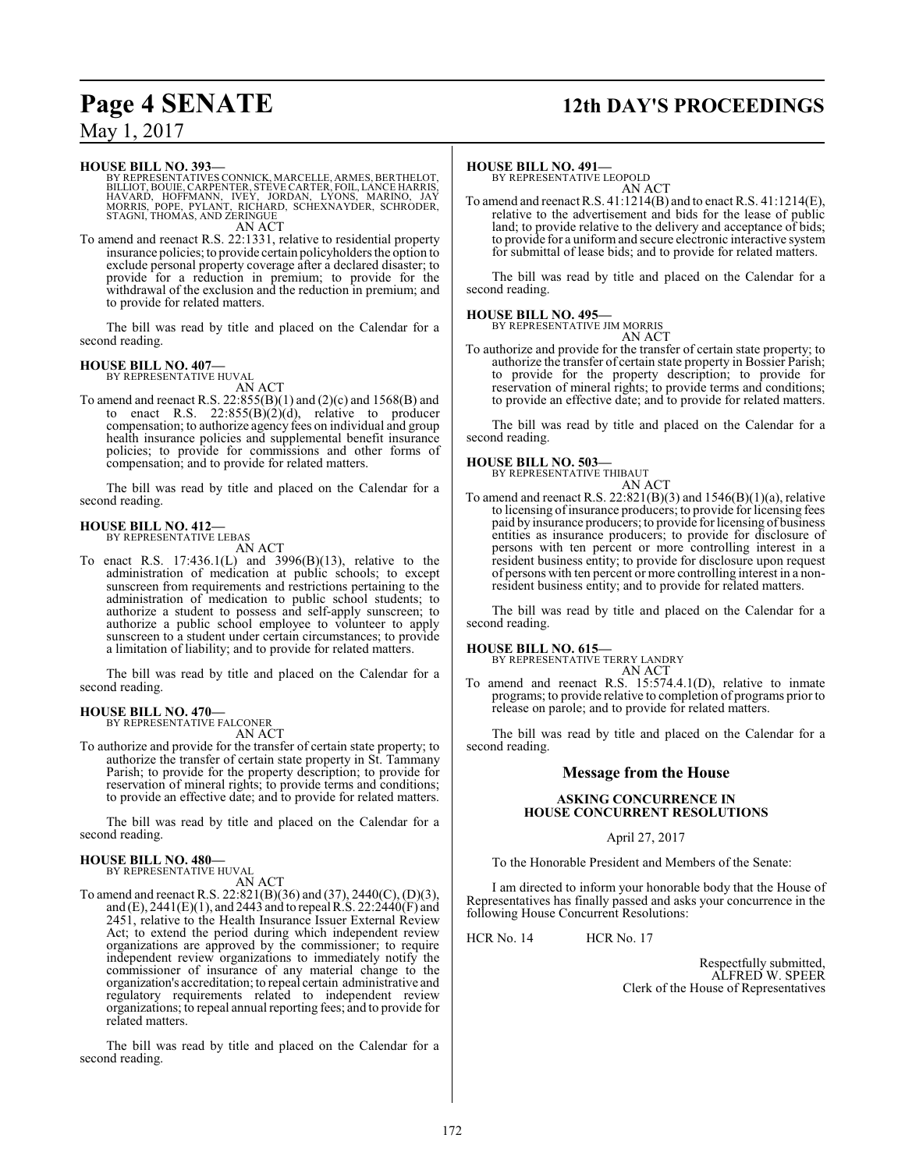# **Page 4 SENATE 12th DAY'S PROCEEDINGS**

## May 1, 2017

**HOUSE BILL NO. 393—**

BY REPRESENTATIVES CONNICK, MARCELLE, ARMES, BERTHELOT,<br>BILLIOT, BOUIE, CARPENTER, STEVE CARTER, FOIL, LANCE HARRIS,<br>HAVARD, HOFFMANN, IVEY, JORDAN, LYONS, MARINO, JAY<br>MORRIS, POPE, PYLANT, RICHARD, SCHEX AN ACT

To amend and reenact R.S. 22:1331, relative to residential property insurance policies; to provide certain policyholders the option to exclude personal property coverage after a declared disaster; to provide for a reduction in premium; to provide for the withdrawal of the exclusion and the reduction in premium; and to provide for related matters.

The bill was read by title and placed on the Calendar for a second reading.

# **HOUSE BILL NO. 407—** BY REPRESENTATIVE HUVAL

AN ACT To amend and reenact R.S.  $22:855(B)(1)$  and  $(2)(c)$  and  $1568(B)$  and to enact R.S.  $22:855(B)(2)(d)$ , relative to producer compensation; to authorize agency fees on individual and group health insurance policies and supplemental benefit insurance policies; to provide for commissions and other forms of compensation; and to provide for related matters.

The bill was read by title and placed on the Calendar for a second reading.

#### **HOUSE BILL NO. 412—** BY REPRESENTATIVE LEBAS

AN ACT

To enact R.S. 17:436.1(L) and 3996(B)(13), relative to the administration of medication at public schools; to except sunscreen from requirements and restrictions pertaining to the administration of medication to public school students; to authorize a student to possess and self-apply sunscreen; to authorize a public school employee to volunteer to apply sunscreen to a student under certain circumstances; to provide a limitation of liability; and to provide for related matters.

The bill was read by title and placed on the Calendar for a second reading.

#### **HOUSE BILL NO. 470—**

BY REPRESENTATIVE FALCONER AN ACT

To authorize and provide for the transfer of certain state property; to authorize the transfer of certain state property in St. Tammany Parish; to provide for the property description; to provide for reservation of mineral rights; to provide terms and conditions; to provide an effective date; and to provide for related matters.

The bill was read by title and placed on the Calendar for a second reading.

# **HOUSE BILL NO. 480—** BY REPRESENTATIVE HUVAL

AN ACT

To amend and reenact R.S. 22:821(B)(36) and (37), 2440(C), (D)(3), and (E), 2441(E)(1), and 2443 and to repeal R.S. 22:2440(F) and 2451, relative to the Health Insurance Issuer External Review Act; to extend the period during which independent review organizations are approved by the commissioner; to require independent review organizations to immediately notify the commissioner of insurance of any material change to the organization's accreditation; to repeal certain administrative and regulatory requirements related to independent review organizations; to repeal annual reporting fees; and to provide for related matters.

The bill was read by title and placed on the Calendar for a second reading.

#### **HOUSE BILL NO. 491—**

BY REPRESENTATIVE LEOPOLD AN ACT

To amend and reenact R.S. 41:1214(B) and to enact R.S. 41:1214(E), relative to the advertisement and bids for the lease of public land; to provide relative to the delivery and acceptance of bids; to provide for a uniform and secure electronic interactive system for submittal of lease bids; and to provide for related matters.

The bill was read by title and placed on the Calendar for a second reading.

#### **HOUSE BILL NO. 495—**

BY REPRESENTATIVE JIM MORRIS

AN ACT To authorize and provide for the transfer of certain state property; to authorize the transfer of certain state property in Bossier Parish; to provide for the property description; to provide for reservation of mineral rights; to provide terms and conditions; to provide an effective date; and to provide for related matters.

The bill was read by title and placed on the Calendar for a second reading.

**HOUSE BILL NO. 503—** BY REPRESENTATIVE THIBAUT AN ACT

To amend and reenact R.S.  $22:821(B)(3)$  and  $1546(B)(1)(a)$ , relative to licensing of insurance producers; to provide for licensing fees paid by insurance producers; to provide for licensing of business entities as insurance producers; to provide for disclosure of persons with ten percent or more controlling interest in a resident business entity; to provide for disclosure upon request of persons with ten percent or more controlling interest in a nonresident business entity; and to provide for related matters.

The bill was read by title and placed on the Calendar for a second reading.

**HOUSE BILL NO. 615—** BY REPRESENTATIVE TERRY LANDRY AN ACT

To amend and reenact R.S. 15:574.4.1(D), relative to inmate programs; to provide relative to completion of programs prior to release on parole; and to provide for related matters.

The bill was read by title and placed on the Calendar for a second reading.

#### **Message from the House**

#### **ASKING CONCURRENCE IN HOUSE CONCURRENT RESOLUTIONS**

#### April 27, 2017

To the Honorable President and Members of the Senate:

I am directed to inform your honorable body that the House of Representatives has finally passed and asks your concurrence in the following House Concurrent Resolutions:

HCR No. 14 HCR No. 17

Respectfully submitted, ALFRED W. SPEER Clerk of the House of Representatives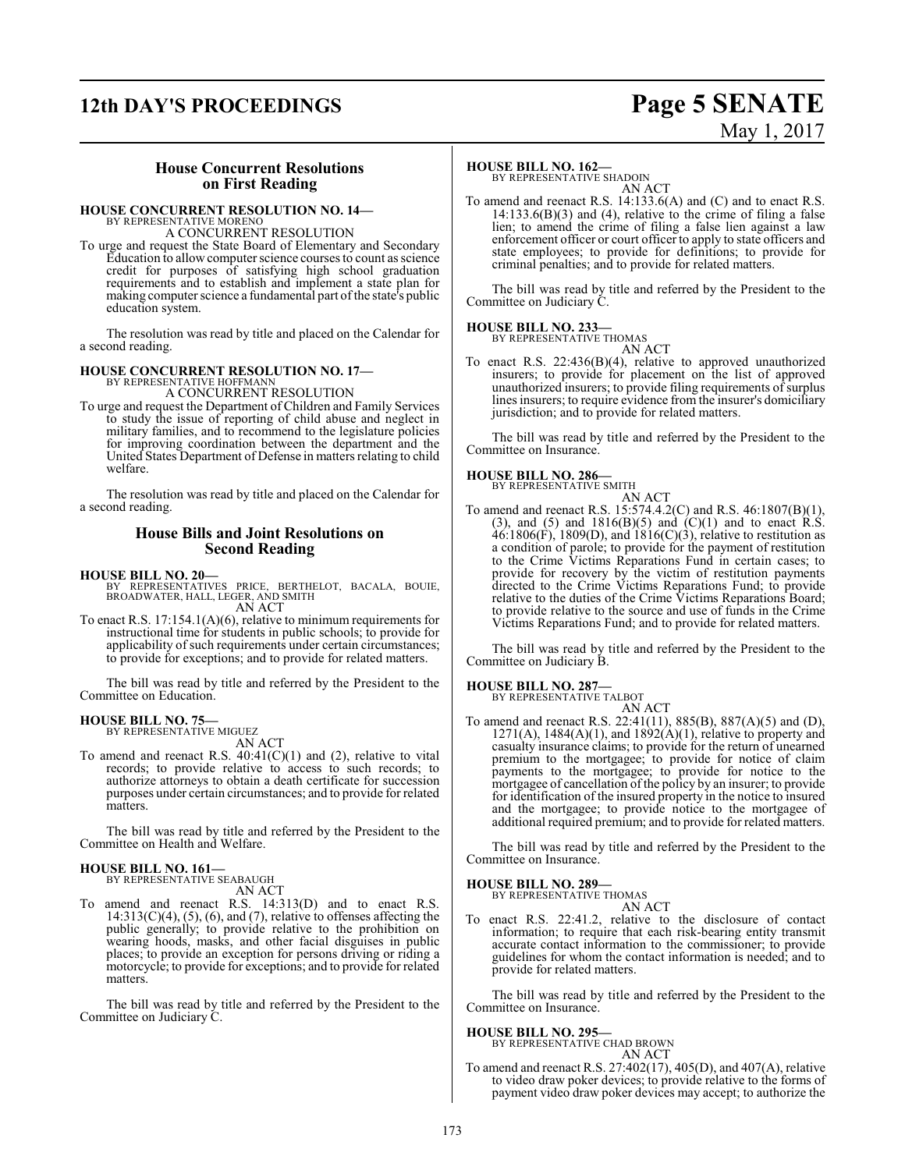# **12th DAY'S PROCEEDINGS Page 5 SENATE**

# May 1, 2017

#### **House Concurrent Resolutions on First Reading**

#### **HOUSE CONCURRENT RESOLUTION NO. 14—**

BY REPRESENTATIVE MORENO A CONCURRENT RESOLUTION

To urge and request the State Board of Elementary and Secondary Education to allowcomputer science courses to count as science credit for purposes of satisfying high school graduation requirements and to establish and implement a state plan for making computer science a fundamental part of the state's public education system.

The resolution was read by title and placed on the Calendar for a second reading.

#### **HOUSE CONCURRENT RESOLUTION NO. 17—** BY REPRESENTATIVE HOFFMANI

A CONCURRENT RESOLUTION

To urge and request the Department of Children and Family Services to study the issue of reporting of child abuse and neglect in military families, and to recommend to the legislature policies for improving coordination between the department and the United States Department of Defense in matters relating to child welfare.

The resolution was read by title and placed on the Calendar for a second reading.

#### **House Bills and Joint Resolutions on Second Reading**

- **HOUSE BILL NO. 20—** BY REPRESENTATIVES PRICE, BERTHELOT, BACALA, BOUIE, BROADWATER, HALL, LEGER, AND SMITH AN ACT
- To enact R.S. 17:154.1(A)(6), relative to minimum requirements for instructional time for students in public schools; to provide for applicability of such requirements under certain circumstances; to provide for exceptions; and to provide for related matters.

The bill was read by title and referred by the President to the Committee on Education.

## **HOUSE BILL NO. 75—**

BY REPRESENTATIVE MIGUEZ AN ACT

To amend and reenact R.S. 40:41(C)(1) and (2), relative to vital records; to provide relative to access to such records; to authorize attorneys to obtain a death certificate for succession purposes under certain circumstances; and to provide for related matters.

The bill was read by title and referred by the President to the Committee on Health and Welfare.

#### **HOUSE BILL NO. 161—**

BY REPRESENTATIVE SEABAUGH AN ACT

To amend and reenact R.S. 14:313(D) and to enact R.S.  $14:313(C)(4)$ ,  $(5)$ ,  $(6)$ , and  $(7)$ , relative to offenses affecting the public generally; to provide relative to the prohibition on wearing hoods, masks, and other facial disguises in public places; to provide an exception for persons driving or riding a motorcycle; to provide for exceptions; and to provide for related matters.

The bill was read by title and referred by the President to the Committee on Judiciary C.

#### **HOUSE BILL NO. 162—**

BY REPRESENTATIVE SHADOIN AN ACT

To amend and reenact R.S. 14:133.6(A) and (C) and to enact R.S.  $14:133.6(B)(3)$  and (4), relative to the crime of filing a false lien; to amend the crime of filing a false lien against a law enforcement officer or court officer to apply to state officers and state employees; to provide for definitions; to provide for criminal penalties; and to provide for related matters.

The bill was read by title and referred by the President to the Committee on Judiciary C.

#### **HOUSE BILL NO. 233—** BY REPRESENTATIVE THOMAS



To enact R.S. 22:436(B)(4), relative to approved unauthorized insurers; to provide for placement on the list of approved unauthorized insurers; to provide filing requirements of surplus lines insurers; to require evidence from the insurer's domiciliary jurisdiction; and to provide for related matters.

The bill was read by title and referred by the President to the Committee on Insurance.

# **HOUSE BILL NO. 286—** BY REPRESENTATIVE SMITH

AN ACT

To amend and reenact R.S. 15:574.4.2(C) and R.S. 46:1807(B)(1), (3), and (5) and  $1816(B)(5)$  and  $(C)(1)$  and to enact R.S.  $46:1806(F)$ , 1809(D), and  $1816(C)(3)$ , relative to restitution as a condition of parole; to provide for the payment of restitution to the Crime Victims Reparations Fund in certain cases; to provide for recovery by the victim of restitution payments directed to the Crime Victims Reparations Fund; to provide relative to the duties of the Crime Victims Reparations Board; to provide relative to the source and use of funds in the Crime Victims Reparations Fund; and to provide for related matters.

The bill was read by title and referred by the President to the Committee on Judiciary B.

#### **HOUSE BILL NO. 287—**

BY REPRESENTATIVE TALBOT

AN ACT To amend and reenact R.S. 22:41(11), 885(B), 887(A)(5) and (D),  $1271(A)$ ,  $1484(A)(1)$ , and  $1892(A)(1)$ , relative to property and casualty insurance claims; to provide for the return of unearned premium to the mortgagee; to provide for notice of claim payments to the mortgagee; to provide for notice to the mortgagee of cancellation ofthe policy by an insurer; to provide for identification of the insured property in the notice to insured and the mortgagee; to provide notice to the mortgagee of additional required premium; and to provide for related matters.

The bill was read by title and referred by the President to the Committee on Insurance.

#### **HOUSE BILL NO. 289—**

BY REPRESENTATIVE THOMAS AN ACT

To enact R.S. 22:41.2, relative to the disclosure of contact information; to require that each risk-bearing entity transmit accurate contact information to the commissioner; to provide guidelines for whom the contact information is needed; and to provide for related matters.

The bill was read by title and referred by the President to the Committee on Insurance.

#### **HOUSE BILL NO. 295—**

BY REPRESENTATIVE CHAD BROWN AN ACT

To amend and reenact R.S. 27:402(17), 405(D), and 407(A), relative to video draw poker devices; to provide relative to the forms of payment video draw poker devices may accept; to authorize the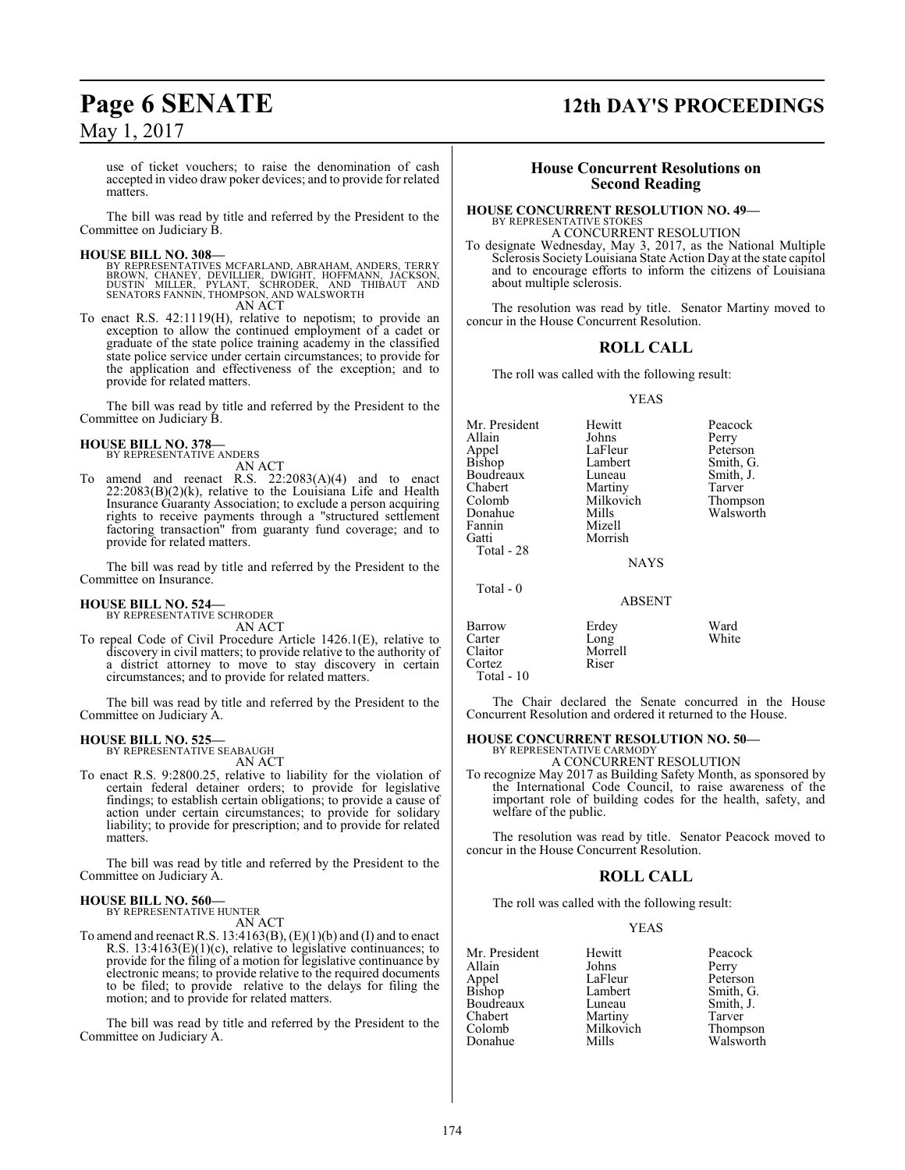use of ticket vouchers; to raise the denomination of cash accepted in video draw poker devices; and to provide for related matters.

The bill was read by title and referred by the President to the Committee on Judiciary B.

**HOUSE BILL NO. 308—** BY REPRESENTATIVES MCFARLAND, ABRAHAM, ANDERS, TERRY BROWN, CHANEY, DEVILLIER, DWIGHT, HOFFMANN, JACKSON,<br>DUSTIN MILLER, PYLANT, SCHRODER, AND THIBAUT AND<br>SENATORS FANNIN,THOMPSON,AND WALSWORTH AN ACT

To enact R.S. 42:1119(H), relative to nepotism; to provide an exception to allow the continued employment of a cadet or graduate of the state police training academy in the classified state police service under certain circumstances; to provide for the application and effectiveness of the exception; and to provide for related matters.

The bill was read by title and referred by the President to the Committee on Judiciary B.

#### **HOUSE BILL NO. 378—** BY REPRESENTATIVE ANDERS

AN ACT

To amend and reenact R.S. 22:2083(A)(4) and to enact  $22:2083(B)(2)(k)$ , relative to the Louisiana Life and Health Insurance Guaranty Association; to exclude a person acquiring rights to receive payments through a "structured settlement factoring transaction" from guaranty fund coverage; and to provide for related matters.

The bill was read by title and referred by the President to the Committee on Insurance.

#### **HOUSE BILL NO. 524—**

BY REPRESENTATIVE SCHRODER AN ACT

To repeal Code of Civil Procedure Article 1426.1(E), relative to discovery in civil matters; to provide relative to the authority of a district attorney to move to stay discovery in certain circumstances; and to provide for related matters.

The bill was read by title and referred by the President to the Committee on Judiciary A.

# **HOUSE BILL NO. 525—** BY REPRESENTATIVE SEABAUGH

AN ACT

To enact R.S. 9:2800.25, relative to liability for the violation of certain federal detainer orders; to provide for legislative findings; to establish certain obligations; to provide a cause of action under certain circumstances; to provide for solidary liability; to provide for prescription; and to provide for related matters.

The bill was read by title and referred by the President to the Committee on Judiciary A.

#### **HOUSE BILL NO. 560—** BY REPRESENTATIVE HUNTER

AN ACT

To amend and reenact R.S.  $13:4163(B)$ ,  $(E)(1)(b)$  and  $(I)$  and to enact R.S.  $13:4163(E)(1)(c)$ , relative to legislative continuances; to provide for the filing of a motion for legislative continuance by electronic means; to provide relative to the required documents to be filed; to provide relative to the delays for filing the motion; and to provide for related matters.

The bill was read by title and referred by the President to the Committee on Judiciary A.

# **Page 6 SENATE 12th DAY'S PROCEEDINGS**

#### **House Concurrent Resolutions on Second Reading**

#### **HOUSE CONCURRENT RESOLUTION NO. 49—** BY REPRESENTATIVE STOKES

A CONCURRENT RESOLUTION

To designate Wednesday, May 3, 2017, as the National Multiple Sclerosis Society Louisiana State Action Day at the state capitol and to encourage efforts to inform the citizens of Louisiana about multiple sclerosis.

The resolution was read by title. Senator Martiny moved to concur in the House Concurrent Resolution.

#### **ROLL CALL**

The roll was called with the following result:

#### YEAS

Mr. President Hewitt Peacock<br>Allain Johns Perry Perry Appel LaFleur Peterson<br>Bishop Lambert Smith, G Lambert Smith, G.<br>
Luneau Smith, J. Boudreaux Luneau Smith,<br>
Chabert Martiny Tarver Chabert Martiny Tarver<br>
Colomb Milkovich Thompson Colomb Milkovich<br>
Donahue Mills Mills Walsworth<br>Mizell Fannin<br>Gatti Morrish Total - 28 **NAYS**  Total - 0 ABSENT Barrow Erdey Ward<br>Carter Long White Carter<br>Claitor Morrell<br>Riser

The Chair declared the Senate concurred in the House Concurrent Resolution and ordered it returned to the House.

# **HOUSE CONCURRENT RESOLUTION NO. 50—** BY REPRESENTATIVE CARMODY

A CONCURRENT RESOLUTION

To recognize May 2017 as Building Safety Month, as sponsored by the International Code Council, to raise awareness of the important role of building codes for the health, safety, and welfare of the public.

The resolution was read by title. Senator Peacock moved to concur in the House Concurrent Resolution.

#### **ROLL CALL**

The roll was called with the following result:

#### YEAS

Mr. President Hewitt Peacock<br>Allain Johns Perry Allain Johns<br>
Appel LaFleur Appel LaFleur Peterson<br>Bishop Lambert Smith, G Boudreaux Luneau Smith,<br>Chabert Martiny Tarver Chabert Martiny Tarver<br>
Colomb Milkovich Thompson Colomb Milkovich<br>
Donahue Mills

Cortez Total - 10

> Lambert Smith, G.<br>
> Luneau Smith, J. Walsworth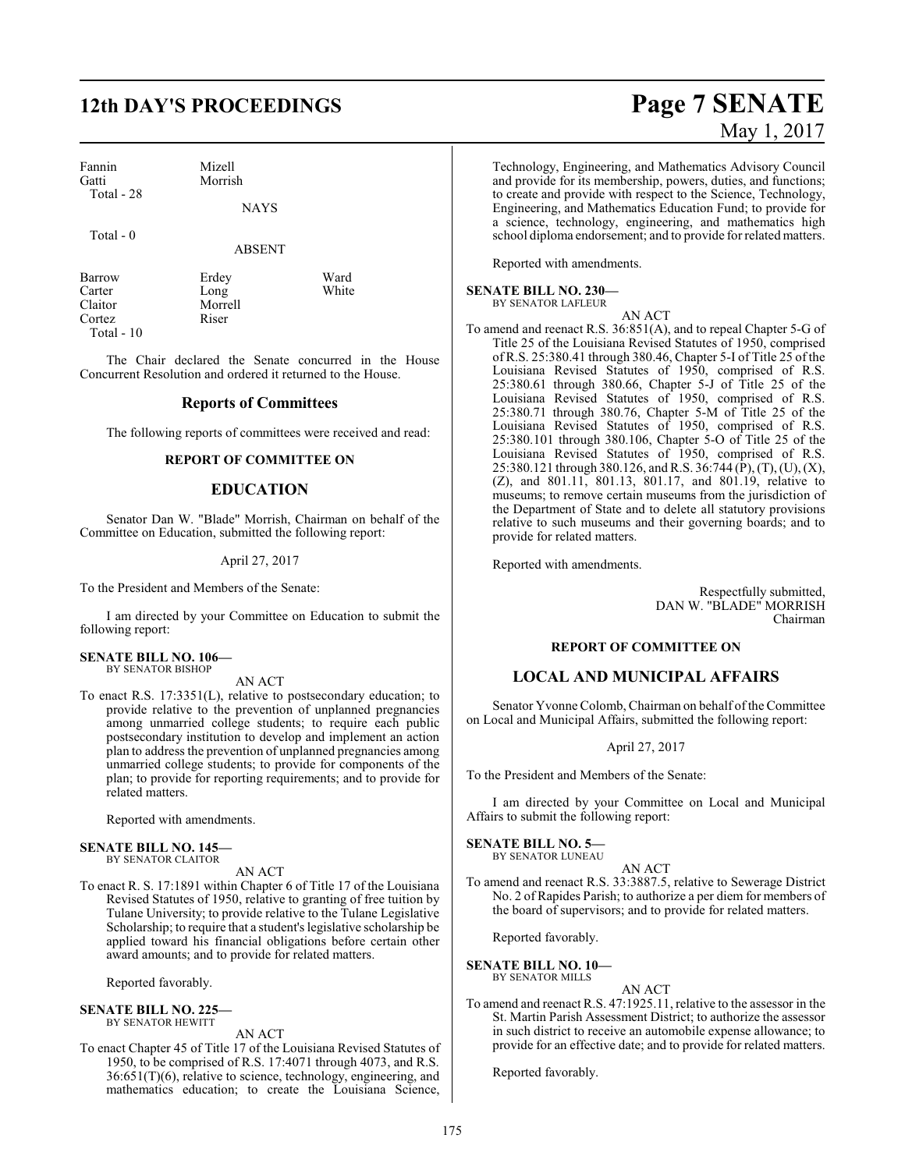# **12th DAY'S PROCEEDINGS Page 7 SENATE**

Fannin Mizell<br>Gatti Morris Morrish Total - 28

Total - 0

ABSENT

Barrow Erdey Ward<br>Carter Long White Carter Long<br>Claitor Morre Cortez Total - 10

Morrell<br>Riser

The Chair declared the Senate concurred in the House Concurrent Resolution and ordered it returned to the House.

#### **Reports of Committees**

The following reports of committees were received and read:

#### **REPORT OF COMMITTEE ON**

#### **EDUCATION**

Senator Dan W. "Blade" Morrish, Chairman on behalf of the Committee on Education, submitted the following report:

April 27, 2017

To the President and Members of the Senate:

I am directed by your Committee on Education to submit the following report:

## **SENATE BILL NO. 106—**

BY SENATOR BISHOP

AN ACT

To enact R.S. 17:3351(L), relative to postsecondary education; to provide relative to the prevention of unplanned pregnancies among unmarried college students; to require each public postsecondary institution to develop and implement an action plan to address the prevention of unplanned pregnancies among unmarried college students; to provide for components of the plan; to provide for reporting requirements; and to provide for related matters.

Reported with amendments.

#### **SENATE BILL NO. 145—** BY SENATOR CLAITOR

AN ACT

To enact R. S. 17:1891 within Chapter 6 of Title 17 of the Louisiana Revised Statutes of 1950, relative to granting of free tuition by Tulane University; to provide relative to the Tulane Legislative Scholarship; to require that a student's legislative scholarship be applied toward his financial obligations before certain other award amounts; and to provide for related matters.

Reported favorably.

#### **SENATE BILL NO. 225—** BY SENATOR HEWITT

AN ACT

To enact Chapter 45 of Title 17 of the Louisiana Revised Statutes of 1950, to be comprised of R.S. 17:4071 through 4073, and R.S. 36:651(T)(6), relative to science, technology, engineering, and mathematics education; to create the Louisiana Science,

# May 1, 2017

Technology, Engineering, and Mathematics Advisory Council and provide for its membership, powers, duties, and functions; to create and provide with respect to the Science, Technology, Engineering, and Mathematics Education Fund; to provide for a science, technology, engineering, and mathematics high school diploma endorsement; and to provide for related matters.

Reported with amendments.

#### **SENATE BILL NO. 230—** BY SENATOR LAFLEUR

AN ACT

To amend and reenact R.S. 36:851(A), and to repeal Chapter 5-G of Title 25 of the Louisiana Revised Statutes of 1950, comprised of R.S. 25:380.41 through 380.46, Chapter 5-I of Title 25 of the Louisiana Revised Statutes of 1950, comprised of R.S. 25:380.61 through 380.66, Chapter 5-J of Title 25 of the Louisiana Revised Statutes of 1950, comprised of R.S. 25:380.71 through 380.76, Chapter 5-M of Title 25 of the Louisiana Revised Statutes of 1950, comprised of R.S. 25:380.101 through 380.106, Chapter 5-O of Title 25 of the Louisiana Revised Statutes of 1950, comprised of R.S. 25:380.121 through 380.126, and R.S. 36:744 (P), (T), (U), (X), (Z), and 801.11, 801.13, 801.17, and 801.19, relative to museums; to remove certain museums from the jurisdiction of the Department of State and to delete all statutory provisions relative to such museums and their governing boards; and to provide for related matters.

Reported with amendments.

Respectfully submitted, DAN W. "BLADE" MORRISH Chairman

#### **REPORT OF COMMITTEE ON**

#### **LOCAL AND MUNICIPAL AFFAIRS**

Senator Yvonne Colomb, Chairman on behalf ofthe Committee on Local and Municipal Affairs, submitted the following report:

#### April 27, 2017

To the President and Members of the Senate:

I am directed by your Committee on Local and Municipal Affairs to submit the following report:

#### **SENATE BILL NO. 5—**

BY SENATOR LUNEAU AN ACT

To amend and reenact R.S. 33:3887.5, relative to Sewerage District No. 2 of Rapides Parish; to authorize a per diem for members of the board of supervisors; and to provide for related matters.

Reported favorably.

#### **SENATE BILL NO. 10—** BY SENATOR MILLS

AN ACT

To amend and reenact R.S. 47:1925.11, relative to the assessor in the St. Martin Parish Assessment District; to authorize the assessor in such district to receive an automobile expense allowance; to provide for an effective date; and to provide for related matters.

Reported favorably.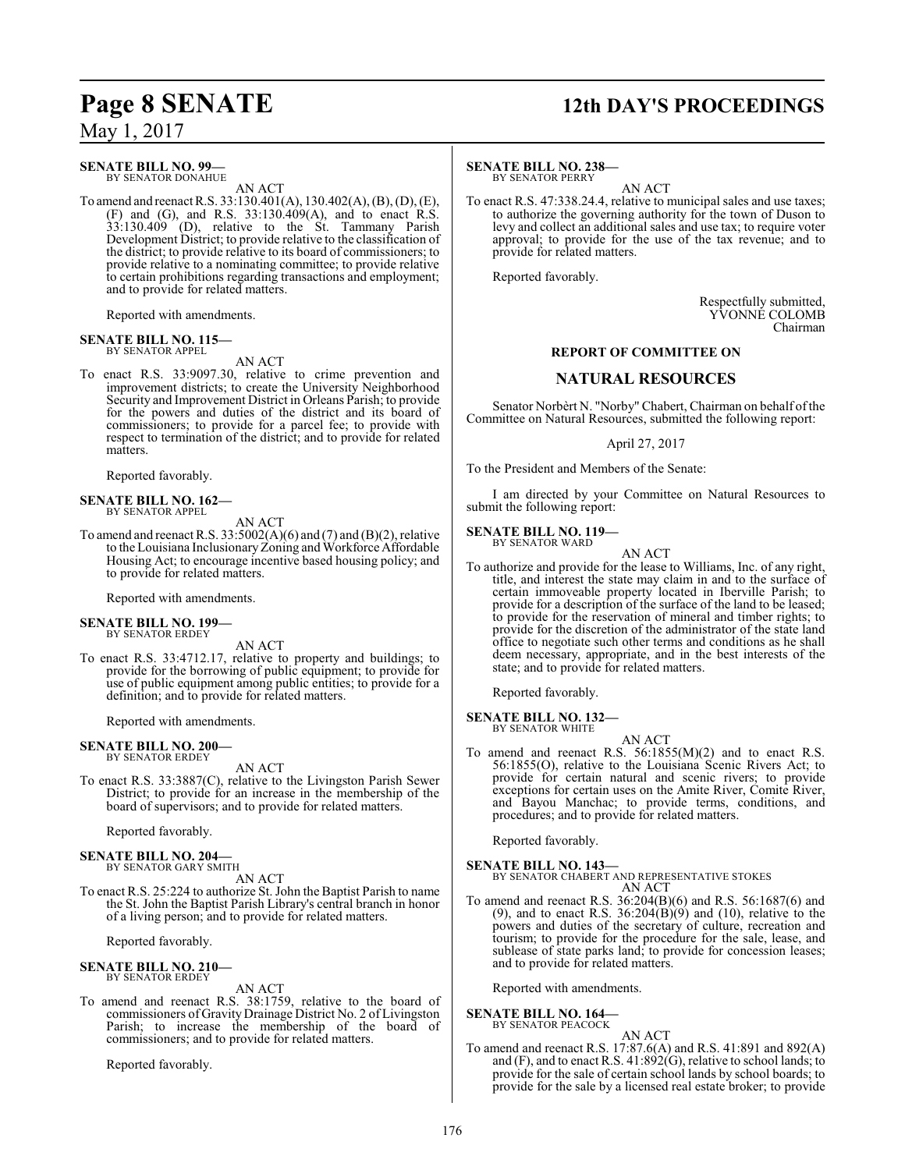**SENATE BILL NO. 99—**

BY SENATOR DONAHUE AN ACT

To amend and reenact R.S. 33:130.401(A), 130.402(A), (B), (D), (E), (F) and (G), and R.S. 33:130.409(A), and to enact R.S. 33:130.409 (D), relative to the St. Tammany Parish Development District; to provide relative to the classification of the district; to provide relative to its board of commissioners; to provide relative to a nominating committee; to provide relative to certain prohibitions regarding transactions and employment; and to provide for related matters.

Reported with amendments.

#### **SENATE BILL NO. 115—** BY SENATOR APPEL

AN ACT

To enact R.S. 33:9097.30, relative to crime prevention and improvement districts; to create the University Neighborhood Security and Improvement District in Orleans Parish; to provide for the powers and duties of the district and its board of commissioners; to provide for a parcel fee; to provide with respect to termination of the district; and to provide for related matters.

Reported favorably.

# **SENATE BILL NO. 162—** BY SENATOR APPEL

AN ACT

To amend and reenact R.S. 33:5002(A)(6) and (7) and (B)(2), relative to the Louisiana Inclusionary Zoning and Workforce Affordable Housing Act; to encourage incentive based housing policy; and to provide for related matters.

Reported with amendments.

#### **SENATE BILL NO. 199—** BY SENATOR ERDEY

AN ACT

To enact R.S. 33:4712.17, relative to property and buildings; to provide for the borrowing of public equipment; to provide for use of public equipment among public entities; to provide for a definition; and to provide for related matters.

Reported with amendments.

#### **SENATE BILL NO. 200—** BY SENATOR ERDEY

AN ACT

To enact R.S. 33:3887(C), relative to the Livingston Parish Sewer District; to provide for an increase in the membership of the board of supervisors; and to provide for related matters.

Reported favorably.

#### **SENATE BILL NO. 204—**

BY SENATOR GARY SMITH

- AN ACT
- To enact R.S. 25:224 to authorize St. John the Baptist Parish to name the St. John the Baptist Parish Library's central branch in honor of a living person; and to provide for related matters.

Reported favorably.

#### **SENATE BILL NO. 210—**

BY SENATOR ERDEY

AN ACT

To amend and reenact R.S. 38:1759, relative to the board of commissioners of Gravity Drainage District No. 2 of Livingston Parish; to increase the membership of the board of commissioners; and to provide for related matters.

Reported favorably.

# **Page 8 SENATE 12th DAY'S PROCEEDINGS**

**SENATE BILL NO. 238—**

BY SENATOR PERRY AN ACT

To enact R.S. 47:338.24.4, relative to municipal sales and use taxes; to authorize the governing authority for the town of Duson to levy and collect an additional sales and use tax; to require voter approval; to provide for the use of the tax revenue; and to provide for related matters.

Reported favorably.

Respectfully submitted, YVONNE COLOMB Chairman

#### **REPORT OF COMMITTEE ON**

#### **NATURAL RESOURCES**

Senator Norbèrt N. "Norby" Chabert, Chairman on behalf of the Committee on Natural Resources, submitted the following report:

April 27, 2017

To the President and Members of the Senate:

I am directed by your Committee on Natural Resources to submit the following report:

# **SENATE BILL NO. 119—** BY SENATOR WARD

AN ACT

To authorize and provide for the lease to Williams, Inc. of any right, title, and interest the state may claim in and to the surface of certain immoveable property located in Iberville Parish; to provide for a description of the surface of the land to be leased; to provide for the reservation of mineral and timber rights; to provide for the discretion of the administrator of the state land office to negotiate such other terms and conditions as he shall deem necessary, appropriate, and in the best interests of the state; and to provide for related matters.

Reported favorably.

#### **SENATE BILL NO. 132—** BY SENATOR WHITE

AN ACT

To amend and reenact R.S. 56:1855(M)(2) and to enact R.S. 56:1855(O), relative to the Louisiana Scenic Rivers Act; to provide for certain natural and scenic rivers; to provide exceptions for certain uses on the Amite River, Comite River, and Bayou Manchac; to provide terms, conditions, and procedures; and to provide for related matters.

Reported favorably.

# **SENATE BILL NO. 143—** BY SENATOR CHABERT AND REPRESENTATIVE STOKES

AN ACT

To amend and reenact R.S. 36:204(B)(6) and R.S. 56:1687(6) and (9), and to enact R.S.  $36:204(B)(9)$  and (10), relative to the powers and duties of the secretary of culture, recreation and tourism; to provide for the procedure for the sale, lease, and sublease of state parks land; to provide for concession leases; and to provide for related matters.

Reported with amendments.

#### **SENATE BILL NO. 164—** BY SENATOR PEACOCK

AN ACT

To amend and reenact R.S. 17:87.6(A) and R.S. 41:891 and 892(A) and  $(F)$ , and to enact R.S.  $41:892(G)$ , relative to school lands; to provide for the sale of certain school lands by school boards; to provide for the sale by a licensed real estate broker; to provide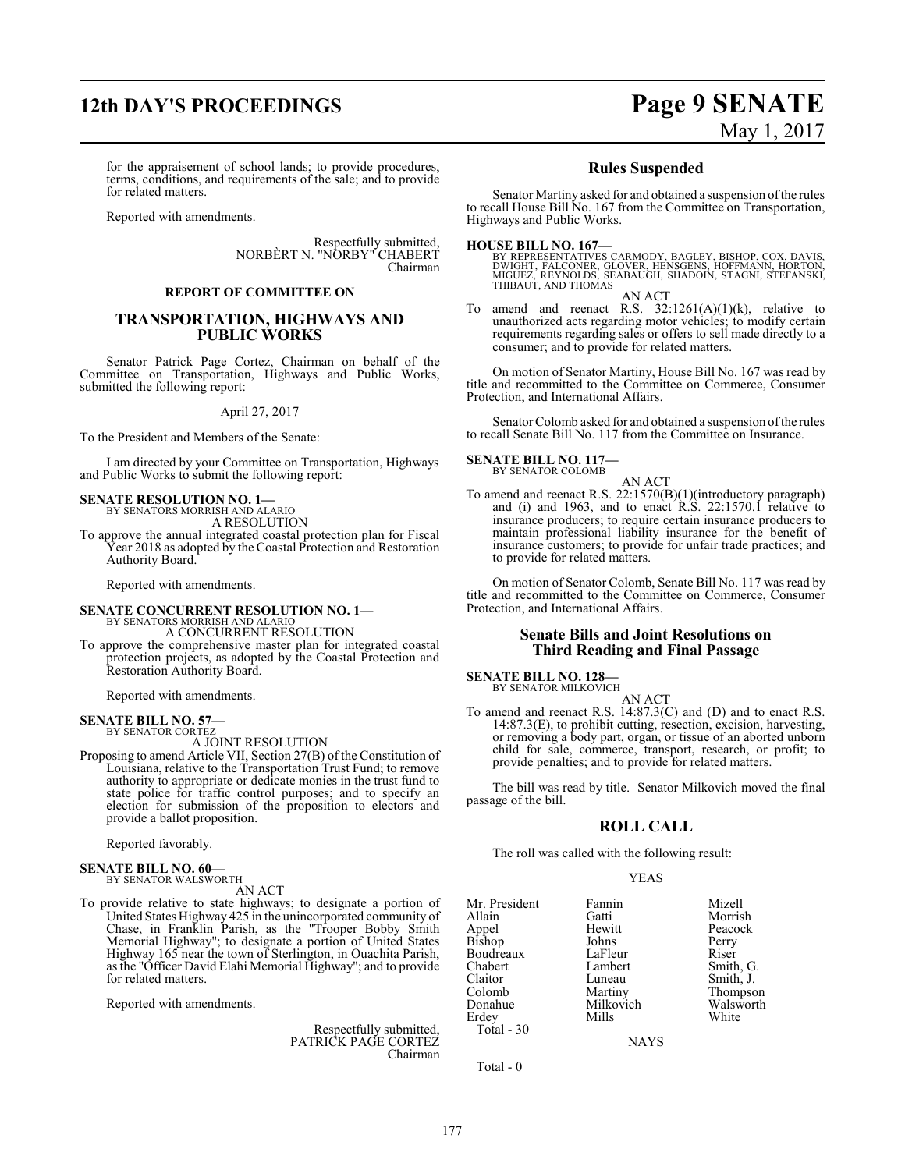# **12th DAY'S PROCEEDINGS Page 9 SENATE**

# May 1, 2017

for the appraisement of school lands; to provide procedures, terms, conditions, and requirements of the sale; and to provide for related matters.

Reported with amendments.

Respectfully submitted, NORBÈRT N. "NORBY" CHABERT Chairman

#### **REPORT OF COMMITTEE ON**

#### **TRANSPORTATION, HIGHWAYS AND PUBLIC WORKS**

Senator Patrick Page Cortez, Chairman on behalf of the Committee on Transportation, Highways and Public Works, submitted the following report:

#### April 27, 2017

To the President and Members of the Senate:

I am directed by your Committee on Transportation, Highways and Public Works to submit the following report:

#### **SENATE RESOLUTION NO. 1—** BY SENATORS MORRISH AND ALARIO

A RESOLUTION

To approve the annual integrated coastal protection plan for Fiscal Year 2018 as adopted by the Coastal Protection and Restoration Authority Board.

Reported with amendments.

## **SENATE CONCURRENT RESOLUTION NO. 1—** BY SENATORS MORRISH AND ALARIO

A CONCURRENT RESOLUTION

To approve the comprehensive master plan for integrated coastal protection projects, as adopted by the Coastal Protection and Restoration Authority Board.

Reported with amendments.

#### **SENATE BILL NO. 57—**

BY SENATOR CORTEZ

A JOINT RESOLUTION Proposing to amend Article VII, Section 27(B) of the Constitution of Louisiana, relative to the Transportation Trust Fund; to remove

authority to appropriate or dedicate monies in the trust fund to state police for traffic control purposes; and to specify an election for submission of the proposition to electors and provide a ballot proposition.

Reported favorably.

#### **SENATE BILL NO. 60—** BY SENATOR WALSWORTH

AN ACT

To provide relative to state highways; to designate a portion of United States Highway 425 in the unincorporated community of Chase, in Franklin Parish, as the "Trooper Bobby Smith Memorial Highway"; to designate a portion of United States Highway 165 near the town of Sterlington, in Ouachita Parish, as the "Officer David Elahi Memorial Highway"; and to provide for related matters.

Reported with amendments.

#### Respectfully submitted, PATRICK PAGE CORTEZ Chairman

#### **Rules Suspended**

Senator Martiny asked for and obtained a suspension of the rules to recall House Bill No. 167 from the Committee on Transportation, Highways and Public Works.

#### **HOUSE BILL NO. 167—**

BY REPRESENTATIVES CARMODY, BAGLEY, BISHOP, COX, DAVIS,<br>DWIGHT, FALCONER, GLOVER, HENSGENS, HOFFMANN, HORTON,<br>MIGUEZ, REYNOLDS, SEABAUGH, SHADOIN, STAGNI, STEFANSKI,<br>THIBAUT, AND THOMAS

AN ACT

To amend and reenact R.S. 32:1261(A)(1)(k), relative to unauthorized acts regarding motor vehicles; to modify certain requirements regarding sales or offers to sell made directly to a consumer; and to provide for related matters.

On motion of Senator Martiny, House Bill No. 167 was read by title and recommitted to the Committee on Commerce, Consumer Protection, and International Affairs.

Senator Colomb asked for and obtained a suspension of the rules to recall Senate Bill No. 117 from the Committee on Insurance.

#### **SENATE BILL NO. 117—** BY SENATOR COLOMB

AN ACT

To amend and reenact R.S. 22:1570(B)(1)(introductory paragraph) and (i) and 1963, and to enact R.S. 22:1570.1 relative to insurance producers; to require certain insurance producers to maintain professional liability insurance for the benefit of insurance customers; to provide for unfair trade practices; and to provide for related matters.

On motion of Senator Colomb, Senate Bill No. 117 was read by title and recommitted to the Committee on Commerce, Consumer Protection, and International Affairs.

#### **Senate Bills and Joint Resolutions on Third Reading and Final Passage**

## **SENATE BILL NO. 128—** BY SENATOR MILKOVICH

AN ACT

To amend and reenact R.S. 14:87.3(C) and (D) and to enact R.S. 14:87.3(E), to prohibit cutting, resection, excision, harvesting, or removing a body part, organ, or tissue of an aborted unborn child for sale, commerce, transport, research, or profit; to provide penalties; and to provide for related matters.

The bill was read by title. Senator Milkovich moved the final passage of the bill.

#### **ROLL CALL**

The roll was called with the following result:

#### YEAS

Mr. President Fannin Mizell Allain Gatti Morrish Bishop Johns Perry<br>Boudreaux LaFleur Riser Boudreaux LaFleur<br>Chabert Lambert Chabert Lambert Smith, G. Claitor Luneau Smith, J.<br>
Colomb Martiny Thompso Colomb Martiny Thompson Erdey Total - 30

Hewitt Peacock<br>Johns Perry Milkovich Walsworth<br>
Mills White

NAYS

Total - 0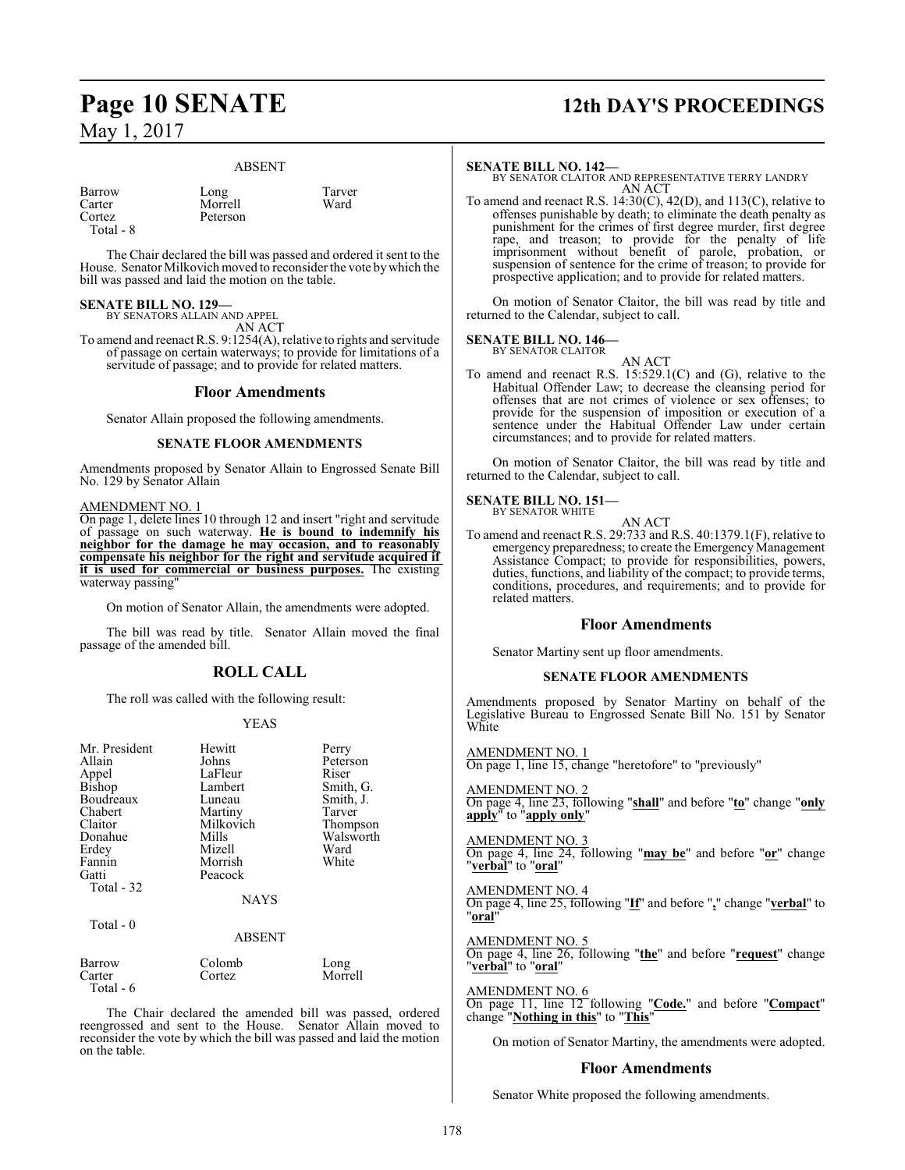#### ABSENT

Barrow Long Tarver<br>Carter Morrell Ward Carter Morrell<br>Cortez Peterson Total - 8

Peterson

The Chair declared the bill was passed and ordered it sent to the House. Senator Milkovich moved to reconsider the vote bywhich the bill was passed and laid the motion on the table.

# **SENATE BILL NO. 129—** BY SENATORS ALLAIN AND APPEL

AN ACT

To amend and reenact R.S. 9:1254(A), relative to rights and servitude of passage on certain waterways; to provide for limitations of a servitude of passage; and to provide for related matters.

#### **Floor Amendments**

Senator Allain proposed the following amendments.

#### **SENATE FLOOR AMENDMENTS**

Amendments proposed by Senator Allain to Engrossed Senate Bill No. 129 by Senator Allain

#### AMENDMENT NO. 1

On page 1, delete lines 10 through 12 and insert "right and servitude of passage on such waterway. **He is bound to indemnify his neighbor for the damage he may occasion, and to reasonably compensate his neighbor for the right and servitude acquired if it is used for commercial or business purposes.** The existing waterway passing

On motion of Senator Allain, the amendments were adopted.

The bill was read by title. Senator Allain moved the final passage of the amended bill.

#### **ROLL CALL**

The roll was called with the following result:

#### YEAS

| Mr. President<br>Allain<br>Appel<br><b>Bishop</b><br>Boudreaux<br>Chabert<br>Claitor<br>Donahue<br>Erdey<br>Fannin<br>Gatti<br>Total - 32 | Hewitt<br>Johns<br>LaFleur<br>Lambert<br>Luneau<br>Martiny<br>Milkovich<br>Mills<br>Mizell<br>Morrish<br>Peacock<br><b>NAYS</b> | Perry<br>Peterson<br>Riser<br>Smith, G.<br>Smith, J.<br>Tarver<br>Thompson<br>Walsworth<br>Ward<br>White |
|-------------------------------------------------------------------------------------------------------------------------------------------|---------------------------------------------------------------------------------------------------------------------------------|----------------------------------------------------------------------------------------------------------|
| Total - $0$                                                                                                                               | <b>ABSENT</b>                                                                                                                   |                                                                                                          |
| Barrow                                                                                                                                    | Colomb                                                                                                                          | Long                                                                                                     |

Carter Cortez Morrell Total - 6

The Chair declared the amended bill was passed, ordered reengrossed and sent to the House. Senator Allain moved to reconsider the vote by which the bill was passed and laid the motion on the table.

# **Page 10 SENATE 12th DAY'S PROCEEDINGS**

#### **SENATE BILL NO. 142—**

BY SENATOR CLAITOR AND REPRESENTATIVE TERRY LANDRY AN ACT

To amend and reenact R.S. 14:30(C), 42(D), and 113(C), relative to offenses punishable by death; to eliminate the death penalty as punishment for the crimes of first degree murder, first degree rape, and treason; to provide for the penalty of life imprisonment without benefit of parole, probation, or suspension of sentence for the crime of treason; to provide for prospective application; and to provide for related matters.

On motion of Senator Claitor, the bill was read by title and returned to the Calendar, subject to call.

#### **SENATE BILL NO. 146—** BY SENATOR CLAITOR

AN ACT

To amend and reenact R.S. 15:529.1(C) and (G), relative to the Habitual Offender Law; to decrease the cleansing period for offenses that are not crimes of violence or sex offenses; to provide for the suspension of imposition or execution of a sentence under the Habitual Offender Law under certain circumstances; and to provide for related matters.

On motion of Senator Claitor, the bill was read by title and returned to the Calendar, subject to call.

## **SENATE BILL NO. 151—**<br>BY SENATOR WHITE

AN ACT To amend and reenact R.S. 29:733 and R.S. 40:1379.1(F), relative to emergency preparedness; to create the Emergency Management Assistance Compact; to provide for responsibilities, powers, duties, functions, and liability of the compact; to provide terms, conditions, procedures, and requirements; and to provide for related matters.

#### **Floor Amendments**

Senator Martiny sent up floor amendments.

#### **SENATE FLOOR AMENDMENTS**

Amendments proposed by Senator Martiny on behalf of the Legislative Bureau to Engrossed Senate Bill No. 151 by Senator **White** 

AMENDMENT NO. 1 On page 1, line 15, change "heretofore" to "previously"

AMENDMENT NO. 2 On page 4, line 23, following "**shall**" and before "**to**" change "**only apply**" to "**apply only**"

AMENDMENT NO. 3 On page 4, line 24, following "**may be**" and before "**or**" change "**verbal**" to "**oral**"

AMENDMENT NO. 4 On page 4, line 25, following "**If**" and before "**,**" change "**verbal**" to "**oral**"

#### AMENDMENT NO. 5

On page 4, line 26, following "**the**" and before "**request**" change "**verbal**" to "**oral**"

#### AMENDMENT NO. 6

On page 11, line 12 following "**Code.**" and before "**Compact**" change "**Nothing in this**" to "**This**"

On motion of Senator Martiny, the amendments were adopted.

#### **Floor Amendments**

Senator White proposed the following amendments.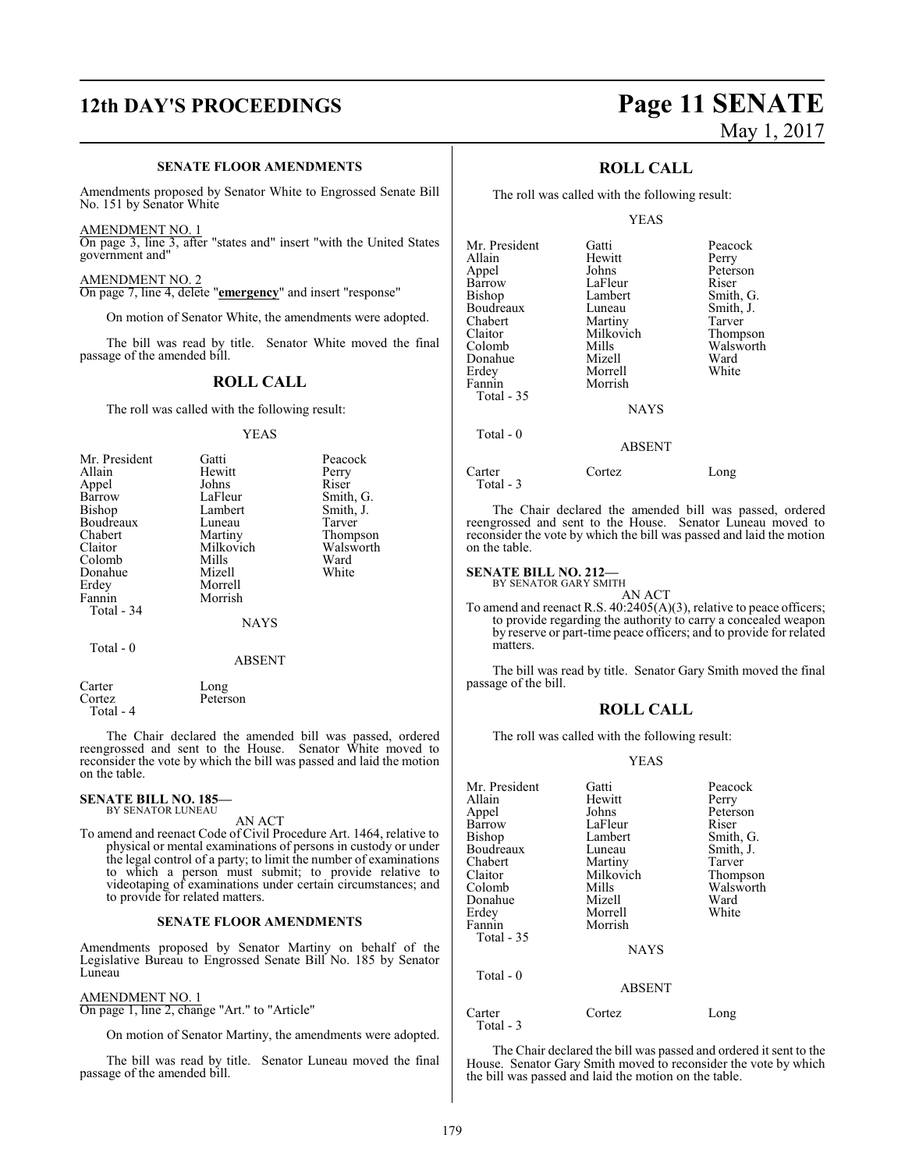#### **SENATE FLOOR AMENDMENTS**

Amendments proposed by Senator White to Engrossed Senate Bill No. 151 by Senator White

AMENDMENT NO. 1

On page 3, line 3, after "states and" insert "with the United States government and"

AMENDMENT NO. 2 On page 7, line 4, delete "**emergency**" and insert "response"

On motion of Senator White, the amendments were adopted.

The bill was read by title. Senator White moved the final passage of the amended bill.

#### **ROLL CALL**

The roll was called with the following result:

YEAS

|           | Perry     |
|-----------|-----------|
| Johns     | Riser     |
| LaFleur   | Smith, G. |
| Lambert   | Smith, J. |
| Luneau    | Tarver    |
| Martiny   | Thompson  |
| Milkovich | Walsworth |
| Mills     | Ward      |
| Mizell    | White     |
| Morrell   |           |
| Morrish   |           |
|           |           |
| NAYS      |           |
|           | Hewitt    |

Total - 0

Total - 4

Carter Long<br>Cortez Peters Peterson

The Chair declared the amended bill was passed, ordered reengrossed and sent to the House. Senator White moved to reconsider the vote by which the bill was passed and laid the motion on the table.

ABSENT

#### **SENATE BILL NO. 185—** BY SENATOR LUNEAU

AN ACT

To amend and reenact Code of Civil Procedure Art. 1464, relative to physical or mental examinations of persons in custody or under the legal control of a party; to limit the number of examinations to which a person must submit; to provide relative to videotaping of examinations under certain circumstances; and to provide for related matters.

#### **SENATE FLOOR AMENDMENTS**

Amendments proposed by Senator Martiny on behalf of the Legislative Bureau to Engrossed Senate Bill No. 185 by Senator Luneau

#### AMENDMENT NO. 1

On page 1, line 2, change "Art." to "Article"

On motion of Senator Martiny, the amendments were adopted.

The bill was read by title. Senator Luneau moved the final passage of the amended bill.

# **12th DAY'S PROCEEDINGS Page 11 SENATE** May 1, 2017

#### **ROLL CALL**

The roll was called with the following result:

#### YEAS

| Mr. President | Gatti            | Peacock   |
|---------------|------------------|-----------|
| Allain        | Hewitt           | Perry     |
| Appel         | Johns            | Peterson  |
| Barrow        | LaFleur          | Riser     |
| Bishop        | Lambert          | Smith, G. |
| Boudreaux     | Luneau           | Smith, J. |
| Chabert       | Martiny          | Tarver    |
| Claitor       | Milkovich        | Thompson  |
| Colomb        | Mills            | Walsworth |
| Donahue       | Mizell           | Ward      |
| Erdey         | Morrell          | White     |
| Fannin        | Morrish          |           |
| Total - 35    |                  |           |
|               | <b>NAYS</b>      |           |
| Total $-0$    |                  |           |
|               | <b>A D C ENT</b> |           |

### ABSENT

Carter Cortez Long Total - 3

The Chair declared the amended bill was passed, ordered reengrossed and sent to the House. Senator Luneau moved to reconsider the vote by which the bill was passed and laid the motion on the table.

#### **SENATE BILL NO. 212—** BY SENATOR GARY SMITH

AN ACT To amend and reenact R.S. 40:2405(A)(3), relative to peace officers; to provide regarding the authority to carry a concealed weapon by reserve or part-time peace officers; and to provide for related matters.

The bill was read by title. Senator Gary Smith moved the final passage of the bill.

#### **ROLL CALL**

The roll was called with the following result:

#### YEAS

| Gatti       | Peacock                                     |
|-------------|---------------------------------------------|
|             | Perry                                       |
|             | Peterson                                    |
| LaFleur     | Riser                                       |
| Lambert     | Smith, G.                                   |
| Luneau      | Smith, J.                                   |
| Martiny     | Tarver                                      |
| Milkovich   | Thompson                                    |
| Mills       | Walsworth                                   |
| Mizell      | Ward                                        |
| Morrell     | White                                       |
|             |                                             |
|             |                                             |
| <b>NAYS</b> |                                             |
|             |                                             |
|             |                                             |
| Cortez      | Long                                        |
|             | Hewitt<br>Johns<br>Morrish<br><b>ABSENT</b> |

Total - 3

The Chair declared the bill was passed and ordered it sent to the House. Senator Gary Smith moved to reconsider the vote by which the bill was passed and laid the motion on the table.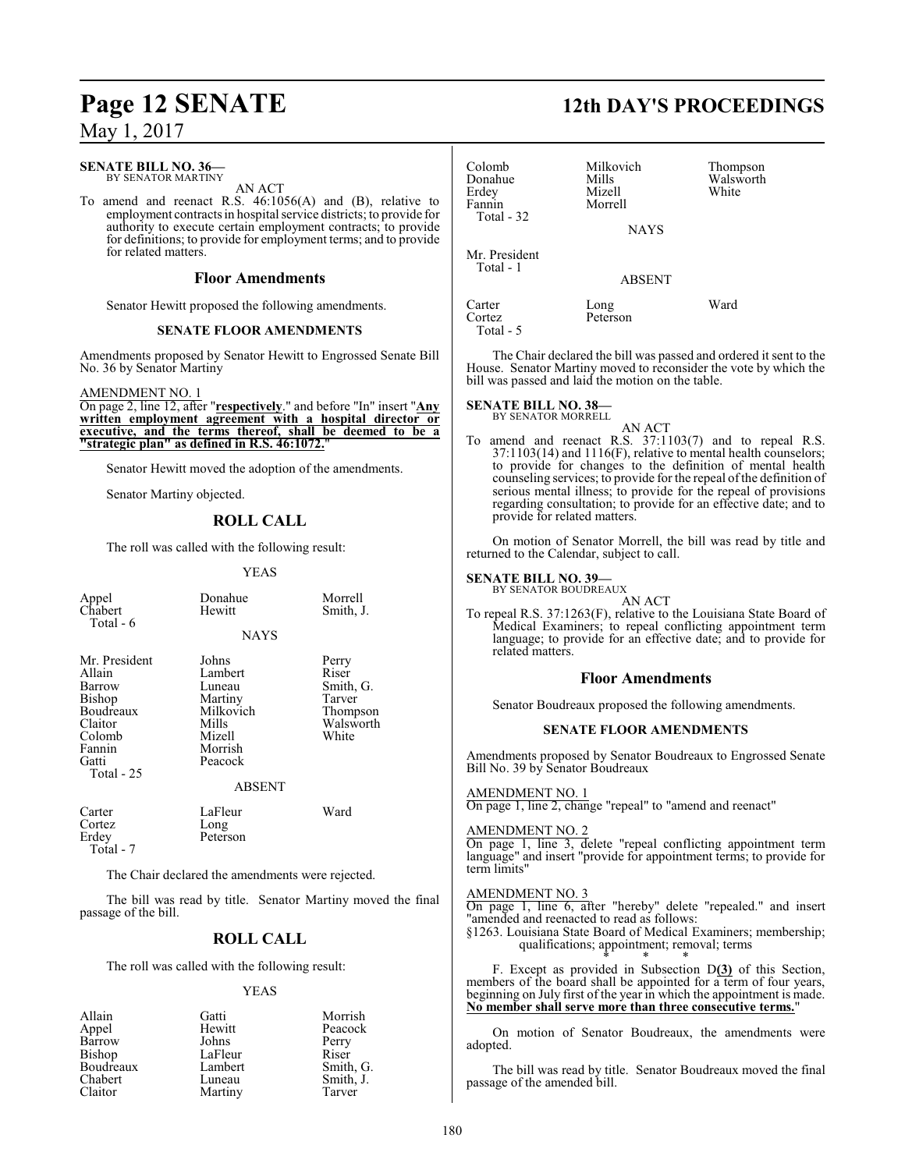## **SENATE BILL NO. 36—**

BY SENATOR MARTINY AN ACT

To amend and reenact R.S. 46:1056(A) and (B), relative to employment contracts in hospital service districts; to provide for authority to execute certain employment contracts; to provide for definitions; to provide for employment terms; and to provide for related matters.

#### **Floor Amendments**

Senator Hewitt proposed the following amendments.

#### **SENATE FLOOR AMENDMENTS**

Amendments proposed by Senator Hewitt to Engrossed Senate Bill No. 36 by Senator Martiny

AMENDMENT NO. 1

On page 2, line 12, after "**respectively**." and before "In" insert "**Any written employment agreement with a hospital director or executive, and the terms thereof, shall be deemed to be a "strategic plan" as defined in R.S. 46:1072.**"

Senator Hewitt moved the adoption of the amendments.

Senator Martiny objected.

### **ROLL CALL**

The roll was called with the following result:

#### YEAS

| Appel<br>Chabert<br>Total - 6                                                                                  | Donahue<br>Hewitt                                                                           | Morrell<br>Smith, J.                                                    |
|----------------------------------------------------------------------------------------------------------------|---------------------------------------------------------------------------------------------|-------------------------------------------------------------------------|
|                                                                                                                | <b>NAYS</b>                                                                                 |                                                                         |
| Mr. President<br>Allain<br>Barrow<br>Bishop<br>Boudreaux<br>Claitor<br>Colomb<br>Fannin<br>Gatti<br>Total - 25 | Johns<br>Lambert<br>Luneau<br>Martiny<br>Milkovich<br>Mills<br>Mizell<br>Morrish<br>Peacock | Perry<br>Riser<br>Smith, G.<br>Tarver<br>Thompson<br>Walsworth<br>White |
|                                                                                                                | <b>ABSENT</b>                                                                               |                                                                         |
| Carter<br>Cortez<br>Erdey<br>Total - 7                                                                         | LaFleur<br>Long<br>Peterson                                                                 | Ward                                                                    |
|                                                                                                                | The Chain declared the amondments were rejected.                                            |                                                                         |

The Chair declared the amendments were rejected.

The bill was read by title. Senator Martiny moved the final passage of the bill.

## **ROLL CALL**

The roll was called with the following result:

#### YEAS

| Allain    | Gatti   | Morrish   |
|-----------|---------|-----------|
| Appel     | Hewitt  | Peacock   |
| Barrow    | Johns   | Perry     |
| Bishop    | LaFleur | Riser     |
| Boudreaux | Lambert | Smith, G. |
| Chabert   | Luneau  | Smith, J. |
| Claitor   | Martiny | Tarver    |

# **Page 12 SENATE 12th DAY'S PROCEEDINGS**

| Colomb<br>Donahue<br>Erdey<br>Fannin<br>Total - 32 | Milkovich<br>Mills<br>Mizell<br>Morrell<br><b>NAYS</b> | Thompson<br>Walsworth<br>White |
|----------------------------------------------------|--------------------------------------------------------|--------------------------------|
| Mr. President<br>Total - 1                         | ABSENT                                                 |                                |
| Carter<br>Cortez<br>Total - 5                      | Long<br>Peterson                                       | Ward                           |

The Chair declared the bill was passed and ordered it sent to the House. Senator Martiny moved to reconsider the vote by which the bill was passed and laid the motion on the table.

#### **SENATE BILL NO. 38—**

BY SENATOR MORRELL

AN ACT To amend and reenact R.S. 37:1103(7) and to repeal R.S. 37:1103(14) and 1116(F), relative to mental health counselors; to provide for changes to the definition of mental health counseling services; to provide for the repeal of the definition of serious mental illness; to provide for the repeal of provisions regarding consultation; to provide for an effective date; and to provide for related matters.

On motion of Senator Morrell, the bill was read by title and returned to the Calendar, subject to call.

#### **SENATE BILL NO. 39—** BY SENATOR BOUDREAUX

AN ACT

To repeal R.S. 37:1263(F), relative to the Louisiana State Board of Medical Examiners; to repeal conflicting appointment term language; to provide for an effective date; and to provide for related matters.

#### **Floor Amendments**

Senator Boudreaux proposed the following amendments.

#### **SENATE FLOOR AMENDMENTS**

Amendments proposed by Senator Boudreaux to Engrossed Senate Bill No. 39 by Senator Boudreaux

AMENDMENT NO. 1

On page 1, line 2, change "repeal" to "amend and reenact"

#### AMENDMENT NO. 2

On page 1, line 3, delete "repeal conflicting appointment term language" and insert "provide for appointment terms; to provide for term limits"

#### AMENDMENT NO. 3

On page 1, line 6, after "hereby" delete "repealed." and insert "amended and reenacted to read as follows:

§1263. Louisiana State Board of Medical Examiners; membership; qualifications; appointment; removal; terms \* \* \*

F. Except as provided in Subsection D**(3)** of this Section, members of the board shall be appointed for a term of four years, beginning on July first of the year in which the appointment is made. **No member shall serve more than three consecutive terms.**"

On motion of Senator Boudreaux, the amendments were adopted.

The bill was read by title. Senator Boudreaux moved the final passage of the amended bill.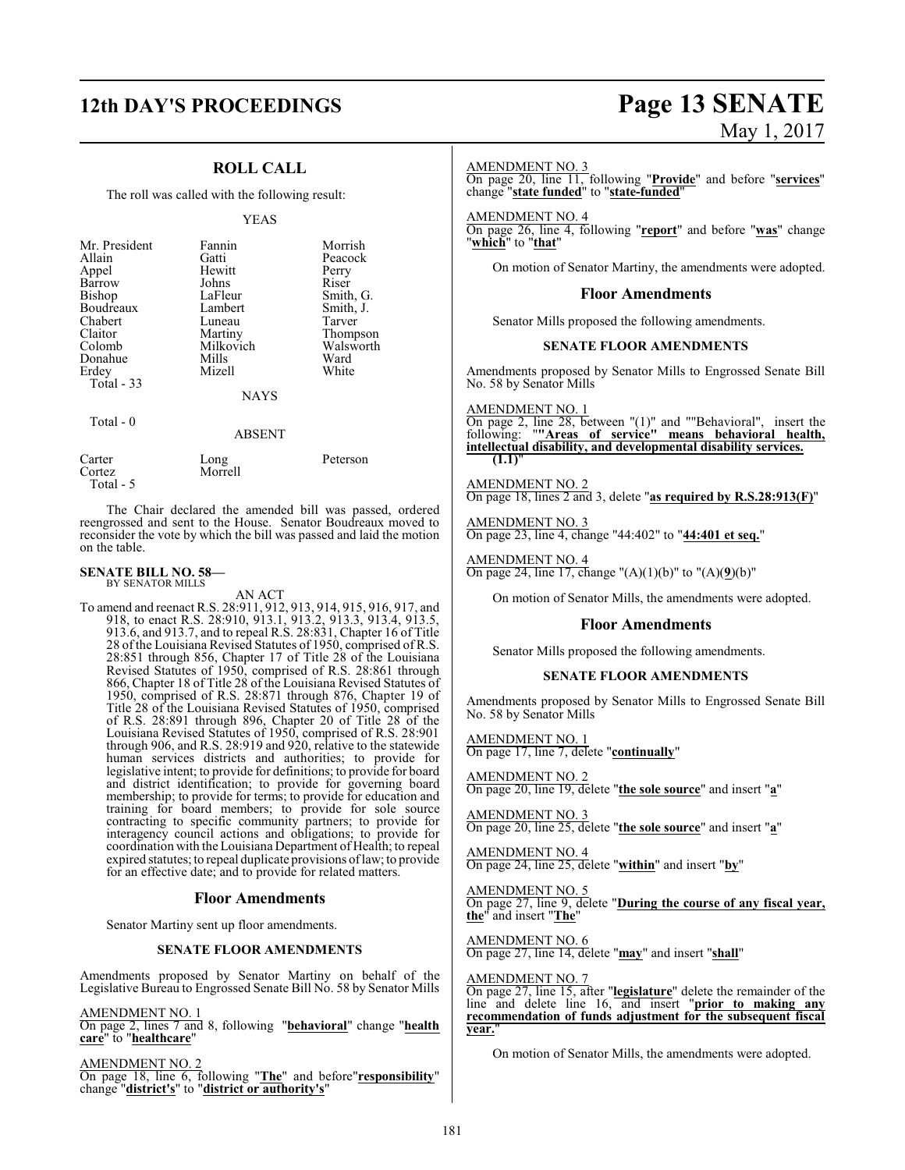# **12th DAY'S PROCEEDINGS Page 13 SENATE**

## **ROLL CALL**

The roll was called with the following result:

#### YEAS

| Mr. President<br>Allain<br>Appel<br>Barrow<br><b>Bishop</b><br><b>Boudreaux</b><br>Chabert<br>Claitor<br>Colomb<br>Donahue<br>Erdey<br>Total $-33$ | Fannin<br>Gatti<br>Hewitt<br>Johns<br>LaFleur<br>Lambert<br>Luneau<br>Martiny<br>Milkovich<br>Mills<br>Mizell<br><b>NAYS</b> | Morrish<br>Peacock<br>Perry<br>Riser<br>Smith, G.<br>Smith, J.<br>Tarver<br>Thompson<br>Walsworth<br>Ward<br>White |
|----------------------------------------------------------------------------------------------------------------------------------------------------|------------------------------------------------------------------------------------------------------------------------------|--------------------------------------------------------------------------------------------------------------------|
| Total - 0                                                                                                                                          | ABSENT                                                                                                                       |                                                                                                                    |

| Carter    | Long    | Peterson |
|-----------|---------|----------|
| Cortez    | Morrell |          |
| Total - 5 |         |          |

The Chair declared the amended bill was passed, ordered reengrossed and sent to the House. Senator Boudreaux moved to reconsider the vote by which the bill was passed and laid the motion on the table.

#### **SENATE BILL NO. 58—** BY SENATOR MILLS

AN ACT

To amend and reenact R.S. 28:911, 912, 913, 914, 915, 916, 917, and 918, to enact R.S. 28:910, 913.1, 913.2, 913.3, 913.4, 913.5, 913.6, and 913.7, and to repeal R.S. 28:831, Chapter 16 of Title 28 of the Louisiana Revised Statutes of 1950, comprised of R.S. 28:851 through 856, Chapter 17 of Title 28 of the Louisiana Revised Statutes of 1950, comprised of R.S. 28:861 through 866, Chapter 18 of Title 28 of the Louisiana Revised Statutes of 1950, comprised of R.S. 28:871 through 876, Chapter 19 of Title 28 of the Louisiana Revised Statutes of 1950, comprised of R.S. 28:891 through 896, Chapter 20 of Title 28 of the Louisiana Revised Statutes of 1950, comprised of R.S. 28:901 through 906, and R.S. 28:919 and 920, relative to the statewide human services districts and authorities; to provide for legislative intent; to provide for definitions; to provide for board and district identification; to provide for governing board membership; to provide for terms; to provide for education and training for board members; to provide for sole source contracting to specific community partners; to provide for interagency council actions and obligations; to provide for coordination with the Louisiana Department of Health; to repeal expired statutes; to repeal duplicate provisions oflaw; to provide for an effective date; and to provide for related matters.

#### **Floor Amendments**

Senator Martiny sent up floor amendments.

#### **SENATE FLOOR AMENDMENTS**

Amendments proposed by Senator Martiny on behalf of the Legislative Bureau to Engrossed Senate Bill No. 58 by Senator Mills

#### AMENDMENT NO. 1

On page 2, lines 7 and 8, following "**behavioral**" change "**health care**" to "**healthcare**"

#### AMENDMENT NO. 2

On page 18, line 6, following "**The**" and before"**responsibility**" change "**district's**" to "**district or authority's**"

# May 1, 2017

#### AMENDMENT NO. 3

On page 20, line 11, following "**Provide**" and before "**services**" change "**state funded**" to "**state-funded**"

AMENDMENT NO. 4 On page 26, line 4, following "**report**" and before "**was**" change "**which**" to "**that**"

On motion of Senator Martiny, the amendments were adopted.

#### **Floor Amendments**

Senator Mills proposed the following amendments.

#### **SENATE FLOOR AMENDMENTS**

Amendments proposed by Senator Mills to Engrossed Senate Bill No. 58 by Senator Mills

AMENDMENT NO. 1 On page 2, line 28, between "(1)" and ""Behavioral", insert the following: "**"Areas of service" means behavioral health, intellectual disability, and developmental disability services. (1.1)**"

AMENDMENT NO. 2 On page 18, lines 2 and 3, delete "**as required by R.S.28:913(F)**"

AMENDMENT NO. 3 On page 23, line 4, change "44:402" to "**44:401 et seq.**"

AMENDMENT NO. 4 On page 24, line 17, change "(A)(1)(b)" to "(A)(**9**)(b)"

On motion of Senator Mills, the amendments were adopted.

#### **Floor Amendments**

Senator Mills proposed the following amendments.

#### **SENATE FLOOR AMENDMENTS**

Amendments proposed by Senator Mills to Engrossed Senate Bill No. 58 by Senator Mills

AMENDMENT NO. 1 On page 17, line 7, delete "**continually**"

AMENDMENT NO. 2 On page 20, line 19, delete "**the sole source**" and insert "**a**"

AMENDMENT NO. 3 On page 20, line 25, delete "**the sole source**" and insert "**a**"

AMENDMENT NO. 4 On page 24, line 25, delete "**within**" and insert "**by**"

AMENDMENT NO. 5 On page 27, line 9, delete "**During the course of any fiscal year, the**" and insert "**The**"

AMENDMENT NO. 6 On page 27, line 14, delete "**may**" and insert "**shall**"

#### AMENDMENT NO. 7

On page 27, line 15, after "**legislature**" delete the remainder of the line and delete line 16, and insert "**prior to making any recommendation of funds adjustment for the subsequent fiscal year.**"

On motion of Senator Mills, the amendments were adopted.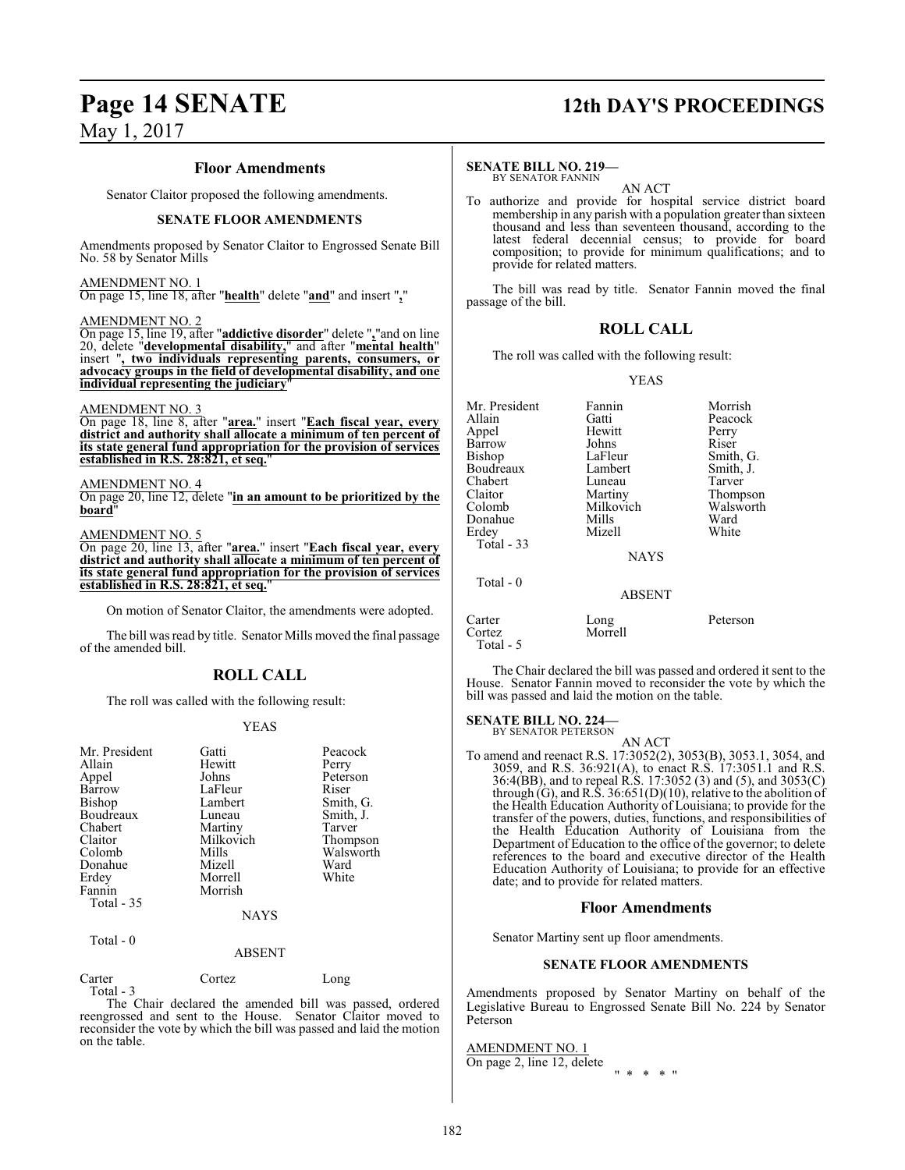#### **Floor Amendments**

Senator Claitor proposed the following amendments.

#### **SENATE FLOOR AMENDMENTS**

Amendments proposed by Senator Claitor to Engrossed Senate Bill No. 58 by Senator Mills

#### AMENDMENT NO. 1

On page 15, line 18, after "**health**" delete "**and**" and insert "**,**"

#### AMENDMENT NO. 2

On page 15, line 19, after "**addictive disorder**" delete "**,**"and on line 20, delete "**developmental disability,**" and after "**mental health**" insert "**, two individuals representing parents, consumers, or advocacy groups in the field of developmental disability, and one individual representing the judiciary**"

#### AMENDMENT NO. 3

On page 18, line 8, after "**area.**" insert "**Each fiscal year, every district and authority shall allocate a minimum of ten percent of its state general fund appropriation for the provision of services established in R.S. 28:821, et seq.**"

#### AMENDMENT NO. 4

On page 20, line 12, delete "**in an amount to be prioritized by the board**"

#### AMENDMENT NO. 5

On page 20, line 13, after "**area.**" insert "**Each fiscal year, every district and authority shall allocate a minimum of ten percent of its state general fund appropriation for the provision of services established in R.S. 28:821, et seq.**"

On motion of Senator Claitor, the amendments were adopted.

The bill was read by title. Senator Mills moved the final passage of the amended bill.

## **ROLL CALL**

The roll was called with the following result:

#### YEAS

| Mr. President     | Gatti       | Peacock   |
|-------------------|-------------|-----------|
| Allain            | Hewitt      | Perry     |
| Appel             | Johns       | Peterson  |
| Barrow            | LaFleur     | Riser     |
| Bishop            | Lambert     | Smith, G. |
| Boudreaux         | Luneau      | Smith, J. |
| Chabert           | Martiny     | Tarver    |
| Claitor           | Milkovich   | Thompson  |
| Colomb            | Mills       | Walsworth |
| Donahue           | Mizell      | Ward      |
| Erdey             | Morrell     | White     |
| Fannin            | Morrish     |           |
| <b>Total - 35</b> |             |           |
|                   | <b>NAYS</b> |           |
| Total - 0         |             |           |

#### ABSENT

Carter Cortez Long Total - 3

The Chair declared the amended bill was passed, ordered reengrossed and sent to the House. Senator Claitor moved to reconsider the vote by which the bill was passed and laid the motion on the table.

# **Page 14 SENATE 12th DAY'S PROCEEDINGS**

#### **SENATE BILL NO. 219—**

BY SENATOR FANNIN AN ACT

To authorize and provide for hospital service district board membership in any parish with a population greater than sixteen thousand and less than seventeen thousand, according to the latest federal decennial census; to provide for board composition; to provide for minimum qualifications; and to provide for related matters.

The bill was read by title. Senator Fannin moved the final passage of the bill.

#### **ROLL CALL**

The roll was called with the following result:

#### YEAS

| Mr. President<br>Allain<br>Appel<br>Barrow<br>Bishop<br>Boudreaux<br>Chabert<br>Claitor<br>Colomb<br>Donahue<br>Erdey<br>Total $-33$ | Fannin<br>Gatti<br>Hewitt<br>Johns<br>LaFleur<br>Lambert<br>Luneau<br>Martiny<br>Milkovich<br>Mills<br>Mizell<br><b>NAYS</b> | Morrish<br>Peacock<br>Perry<br>Riser<br>Smith, G.<br>Smith, J.<br>Tarver<br>Thompson<br>Walsworth<br>Ward<br>White |
|--------------------------------------------------------------------------------------------------------------------------------------|------------------------------------------------------------------------------------------------------------------------------|--------------------------------------------------------------------------------------------------------------------|
| Total $-0$                                                                                                                           | <b>ABSENT</b>                                                                                                                |                                                                                                                    |
| Carter<br>Cortez<br>Total - 5                                                                                                        | Long<br>Morrell                                                                                                              | Peterson                                                                                                           |

The Chair declared the bill was passed and ordered it sent to the House. Senator Fannin moved to reconsider the vote by which the bill was passed and laid the motion on the table.

#### **SENATE BILL NO. 224—**

BY SENATOR PETERSON AN ACT

To amend and reenact R.S. 17:3052(2), 3053(B), 3053.1, 3054, and 3059, and R.S. 36:921(A), to enact R.S. 17:3051.1 and R.S. 36:4(BB), and to repeal R.S. 17:3052 (3) and (5), and 3053(C) through (G), and R.S.  $36:651(D)(10)$ , relative to the abolition of the Health Education Authority of Louisiana; to provide for the transfer of the powers, duties, functions, and responsibilities of the Health Education Authority of Louisiana from the Department of Education to the office of the governor; to delete references to the board and executive director of the Health Education Authority of Louisiana; to provide for an effective date; and to provide for related matters.

#### **Floor Amendments**

Senator Martiny sent up floor amendments.

#### **SENATE FLOOR AMENDMENTS**

Amendments proposed by Senator Martiny on behalf of the Legislative Bureau to Engrossed Senate Bill No. 224 by Senator Peterson

AMENDMENT NO. 1

On page 2, line 12, delete " \* \* \* "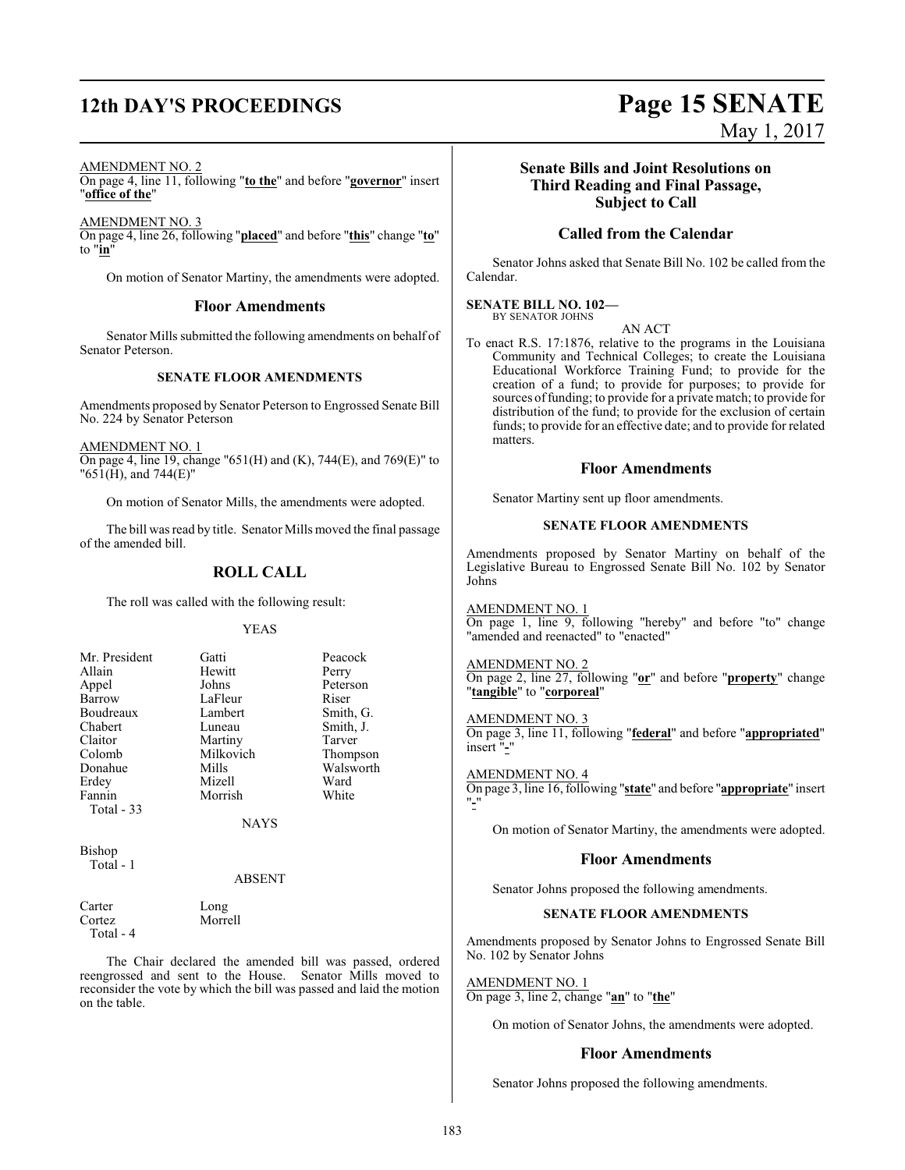# **12th DAY'S PROCEEDINGS Page 15 SENATE**

#### AMENDMENT NO. 2

On page 4, line 11, following "**to the**" and before "**governor**" insert "**office of the**"

AMENDMENT NO. 3 On page 4, line 26, following "**placed**" and before "**this**" change "**to**" to "**in**"

On motion of Senator Martiny, the amendments were adopted.

#### **Floor Amendments**

Senator Mills submitted the following amendments on behalf of Senator Peterson.

#### **SENATE FLOOR AMENDMENTS**

Amendments proposed by Senator Peterson to Engrossed Senate Bill No. 224 by Senator Peterson

AMENDMENT NO. 1 On page 4, line 19, change "651(H) and (K), 744(E), and 769(E)" to "651(H), and 744(E)"

On motion of Senator Mills, the amendments were adopted.

The bill was read by title. Senator Mills moved the final passage of the amended bill.

## **ROLL CALL**

The roll was called with the following result:

#### YEAS

|           | Peacock   |
|-----------|-----------|
| Hewitt    | Perry     |
| Johns     | Peterson  |
| LaFleur   | Riser     |
| Lambert   | Smith, G. |
| Luneau    | Smith, J. |
| Martiny   | Tarver    |
| Milkovich | Thompson  |
| Mills     | Walsworth |
| Mizell    | Ward      |
| Morrish   | White     |
|           |           |
|           | Gatti     |

Morrell

NAYS

Bishop Total - 1

ABSENT

Carter Long<br>Cortez Morre

Total - 4

The Chair declared the amended bill was passed, ordered reengrossed and sent to the House. Senator Mills moved to reconsider the vote by which the bill was passed and laid the motion on the table.

# **Senate Bills and Joint Resolutions on Third Reading and Final Passage,**

May 1, 2017

**Subject to Call**

#### **Called from the Calendar**

Senator Johns asked that Senate Bill No. 102 be called from the Calendar.

#### **SENATE BILL NO. 102—**

BY SENATOR JOHNS

AN ACT To enact R.S. 17:1876, relative to the programs in the Louisiana Community and Technical Colleges; to create the Louisiana Educational Workforce Training Fund; to provide for the creation of a fund; to provide for purposes; to provide for sources of funding; to provide for a private match; to provide for distribution of the fund; to provide for the exclusion of certain funds; to provide for an effective date; and to provide for related matters.

#### **Floor Amendments**

Senator Martiny sent up floor amendments.

#### **SENATE FLOOR AMENDMENTS**

Amendments proposed by Senator Martiny on behalf of the Legislative Bureau to Engrossed Senate Bill No. 102 by Senator Johns

AMENDMENT NO. 1

On page 1, line 9, following "hereby" and before "to" change "amended and reenacted" to "enacted"

#### AMENDMENT NO. 2

On page 2, line 27, following "**or**" and before "**property**" change "**tangible**" to "**corporeal**"

### AMENDMENT NO. 3

On page 3, line 11, following "**federal**" and before "**appropriated**" insert "**-**"

AMENDMENT NO. 4

On page 3, line 16, following "**state**" and before "**appropriate**" insert "**-**"

On motion of Senator Martiny, the amendments were adopted.

#### **Floor Amendments**

Senator Johns proposed the following amendments.

#### **SENATE FLOOR AMENDMENTS**

Amendments proposed by Senator Johns to Engrossed Senate Bill No. 102 by Senator Johns

#### AMENDMENT NO. 1

On page 3, line 2, change "**an**" to "**the**"

On motion of Senator Johns, the amendments were adopted.

#### **Floor Amendments**

Senator Johns proposed the following amendments.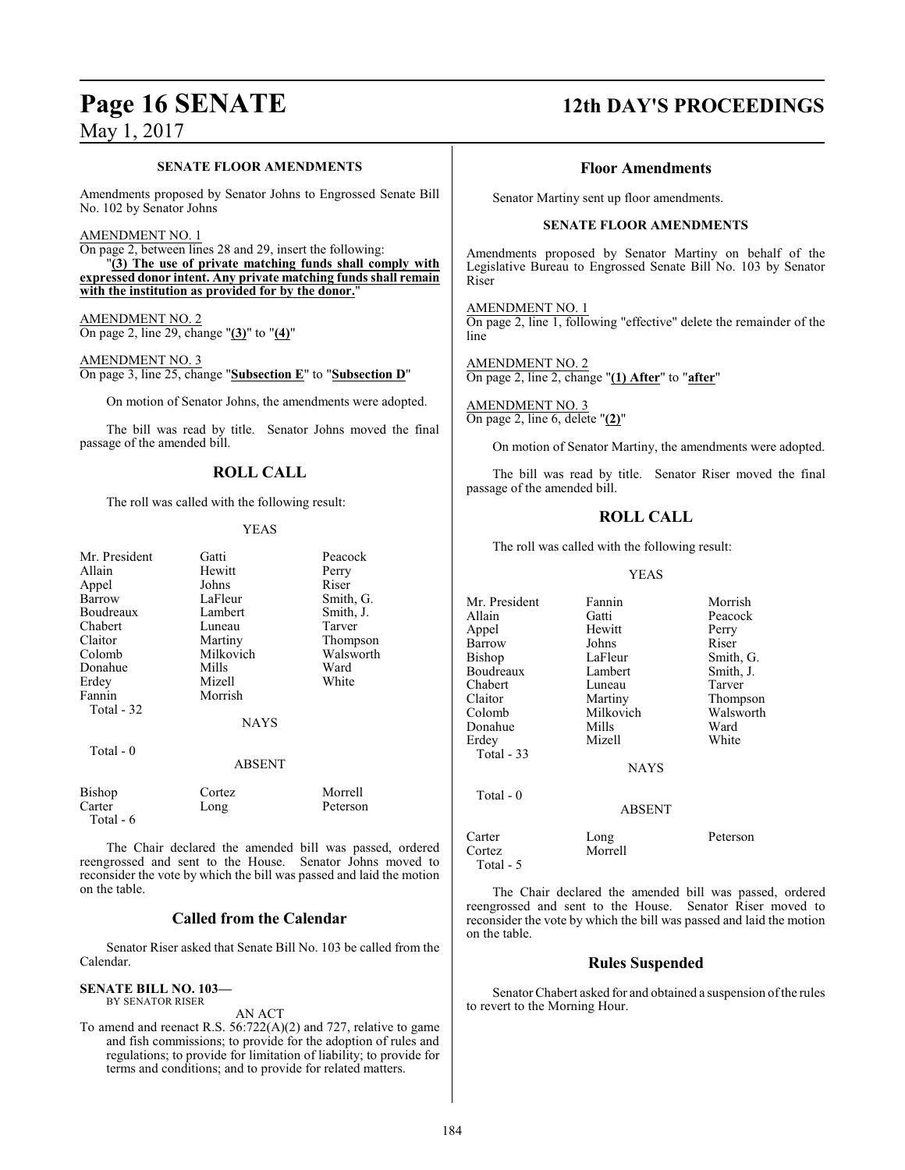#### **SENATE FLOOR AMENDMENTS**

Amendments proposed by Senator Johns to Engrossed Senate Bill No. 102 by Senator Johns

#### AMENDMENT NO. 1

On page 2, between lines 28 and 29, insert the following: "**(3) The use of private matching funds shall comply with expressed donor intent. Any private matching funds shall remain with the institution as provided for by the donor.**"

AMENDMENT NO. 2 On page 2, line 29, change "**(3)**" to "**(4)**"

AMENDMENT NO. 3 On page 3, line 25, change "**Subsection E**" to "**Subsection D**"

On motion of Senator Johns, the amendments were adopted.

The bill was read by title. Senator Johns moved the final passage of the amended bill.

## **ROLL CALL**

The roll was called with the following result:

#### YEAS

| Mr. President | Gatti         | Peacock   |
|---------------|---------------|-----------|
| Allain        | Hewitt        | Perry     |
| Appel         | Johns         | Riser     |
| Barrow        | LaFleur       | Smith, G. |
| Boudreaux     | Lambert       | Smith, J. |
| Chabert       | Luneau        | Tarver    |
| Claitor       | Martiny       | Thompson  |
| Colomb        | Milkovich     | Walsworth |
| Donahue       | Mills         | Ward      |
| Erdey         | Mizell        | White     |
| Fannin        | Morrish       |           |
| Total - 32    |               |           |
|               | <b>NAYS</b>   |           |
| Total $-0$    |               |           |
|               | <b>ABSENT</b> |           |
| Bishop        | Cortez        | Morrell   |
| Carter        | Long          | Peterson  |
| Total - 6     |               |           |

The Chair declared the amended bill was passed, ordered reengrossed and sent to the House. Senator Johns moved to reconsider the vote by which the bill was passed and laid the motion on the table.

#### **Called from the Calendar**

Senator Riser asked that Senate Bill No. 103 be called from the Calendar.

#### **SENATE BILL NO. 103—** BY SENATOR RISER

AN ACT

To amend and reenact R.S. 56:722(A)(2) and 727, relative to game and fish commissions; to provide for the adoption of rules and regulations; to provide for limitation of liability; to provide for terms and conditions; and to provide for related matters.

# **Page 16 SENATE 12th DAY'S PROCEEDINGS**

#### **Floor Amendments**

Senator Martiny sent up floor amendments.

#### **SENATE FLOOR AMENDMENTS**

Amendments proposed by Senator Martiny on behalf of the Legislative Bureau to Engrossed Senate Bill No. 103 by Senator Riser

AMENDMENT NO. 1 On page 2, line 1, following "effective" delete the remainder of the line

AMENDMENT NO. 2 On page 2, line 2, change "**(1) After**" to "**after**"

AMENDMENT NO. 3 On page 2, line 6, delete "**(2)**"

On motion of Senator Martiny, the amendments were adopted.

The bill was read by title. Senator Riser moved the final passage of the amended bill.

#### **ROLL CALL**

The roll was called with the following result:

#### YEAS

Mr. President Fannin Morrish<br>Allain Gatti Peacock Gatti Peacock<br>
Hewitt Perry Appel Hewitt Perry Barrow Johns<br>Bishop LaFleur LaFleur Smith, G.<br>Lambert Smith, J. Boudreaux Chabert Luneau Tarver<br>
Claitor Martiny Thomp Claitor Martiny Thompson Milkovich Walsworth<br>
Mills Ward Donahue Mills Ward<br>Erdey Mizell White Mizell Total - 33 Total - 0 ABSENT Carter Long Peterson Morrell Total - 5

The Chair declared the amended bill was passed, ordered reengrossed and sent to the House. Senator Riser moved to reconsider the vote by which the bill was passed and laid the motion on the table.

**NAYS** 

### **Rules Suspended**

Senator Chabert asked for and obtained a suspension of the rules to revert to the Morning Hour.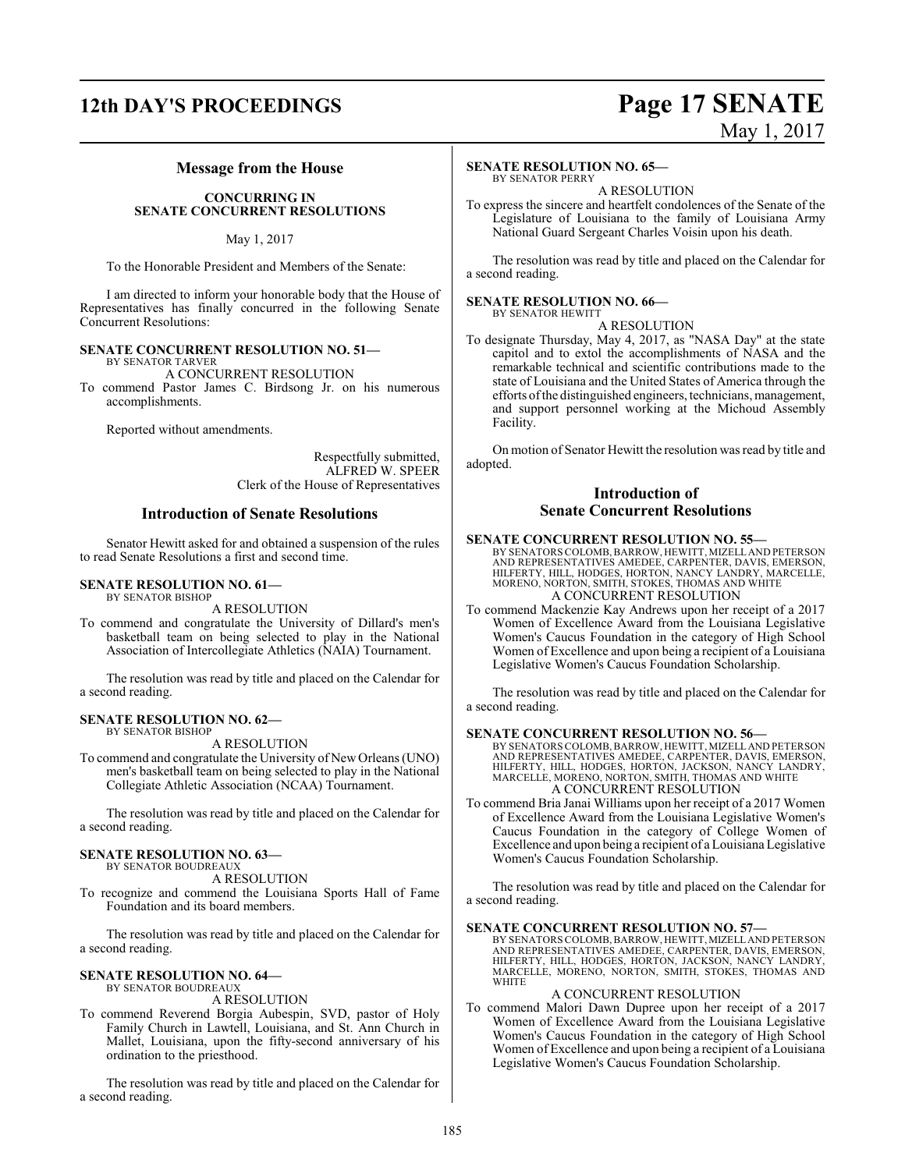# **12th DAY'S PROCEEDINGS Page 17 SENATE**

# May 1, 2017

#### **Message from the House**

#### **CONCURRING IN SENATE CONCURRENT RESOLUTIONS**

May 1, 2017

To the Honorable President and Members of the Senate:

I am directed to inform your honorable body that the House of Representatives has finally concurred in the following Senate Concurrent Resolutions:

#### **SENATE CONCURRENT RESOLUTION NO. 51—** BY SENATOR TARVER

A CONCURRENT RESOLUTION

To commend Pastor James C. Birdsong Jr. on his numerous accomplishments.

Reported without amendments.

Respectfully submitted, ALFRED W. SPEER Clerk of the House of Representatives

#### **Introduction of Senate Resolutions**

Senator Hewitt asked for and obtained a suspension of the rules to read Senate Resolutions a first and second time.

#### **SENATE RESOLUTION NO. 61—** BY SENATOR BISHOP

A RESOLUTION

To commend and congratulate the University of Dillard's men's basketball team on being selected to play in the National Association of Intercollegiate Athletics (NAIA) Tournament.

The resolution was read by title and placed on the Calendar for a second reading.

#### **SENATE RESOLUTION NO. 62—**

BY SENATOR BISHOP

A RESOLUTION

To commend and congratulate the University of New Orleans (UNO) men's basketball team on being selected to play in the National Collegiate Athletic Association (NCAA) Tournament.

The resolution was read by title and placed on the Calendar for a second reading.

#### **SENATE RESOLUTION NO. 63—**

BY SENATOR BOUDREAUX A RESOLUTION

To recognize and commend the Louisiana Sports Hall of Fame Foundation and its board members.

The resolution was read by title and placed on the Calendar for a second reading.

#### **SENATE RESOLUTION NO. 64—** BY SENATOR BOUDREAUX

A RESOLUTION

To commend Reverend Borgia Aubespin, SVD, pastor of Holy Family Church in Lawtell, Louisiana, and St. Ann Church in Mallet, Louisiana, upon the fifty-second anniversary of his ordination to the priesthood.

The resolution was read by title and placed on the Calendar for a second reading.

#### **SENATE RESOLUTION NO. 65—** BY SENATOR PERRY

A RESOLUTION

To express the sincere and heartfelt condolences of the Senate of the Legislature of Louisiana to the family of Louisiana Army National Guard Sergeant Charles Voisin upon his death.

The resolution was read by title and placed on the Calendar for a second reading.

#### **SENATE RESOLUTION NO. 66—** BY SENATOR HEWITT

A RESOLUTION

To designate Thursday, May 4, 2017, as "NASA Day" at the state capitol and to extol the accomplishments of NASA and the remarkable technical and scientific contributions made to the state of Louisiana and the United States of America through the efforts ofthe distinguished engineers, technicians, management, and support personnel working at the Michoud Assembly Facility.

On motion of Senator Hewitt the resolution was read by title and adopted.

### **Introduction of Senate Concurrent Resolutions**

#### **SENATE CONCURRENT RESOLUTION NO. 55—**

BY SENATORS COLOMB, BARROW, HEWITT, MIZELL AND PETERSON<br>AND REPRESENTATIVES AMEDEE, CARPENTER, DAVIS, EMERSON,<br>HILFERTY, HILL, HODGES, HORTON, NANCY LANDRY, MARCELLE,<br>MORENO, NORTON, SMITH, STOKES, THOMAS AND WHITE A CONCURRENT RESOLUTION

To commend Mackenzie Kay Andrews upon her receipt of a 2017 Women of Excellence Award from the Louisiana Legislative Women's Caucus Foundation in the category of High School Women of Excellence and upon being a recipient of a Louisiana Legislative Women's Caucus Foundation Scholarship.

The resolution was read by title and placed on the Calendar for a second reading.

#### **SENATE CONCURRENT RESOLUTION NO. 56—**

BY SENATORS COLOMB, BARROW, HEWITT, MIZELLAND PETERSON AND REPRESENTATIVES AMEDEE, CARPENTER, DAVIS, EMERSON, HILFERTY, HILL, HODGES, HORTON, JACKSON, NANCY LANDRY, MARCELLE, MORENO, NORTON, SMITH, THOMAS AND WHITE A CONCURRENT RESOLUTION

To commend Bria Janai Williams upon her receipt of a 2017 Women of Excellence Award from the Louisiana Legislative Women's Caucus Foundation in the category of College Women of Excellence and upon being a recipient of a Louisiana Legislative Women's Caucus Foundation Scholarship.

The resolution was read by title and placed on the Calendar for a second reading.

#### **SENATE CONCURRENT RESOLUTION NO. 57—**

BY SENATORS COLOMB, BARROW, HEWITT, MIZELL AND PETERSON AND REPRESENTATIVES AMEDEE, CARPENTER, DAVIS, EMERSON, HILFERTY, HILL, HODGES, HORTON, JACKSON, NANCY LANDRY, MARCELLE, MORENO, NORTON, SMITH, STOKES, THOMAS AND **WHITE** 

#### A CONCURRENT RESOLUTION

To commend Malori Dawn Dupree upon her receipt of a 2017 Women of Excellence Award from the Louisiana Legislative Women's Caucus Foundation in the category of High School Women of Excellence and upon being a recipient of a Louisiana Legislative Women's Caucus Foundation Scholarship.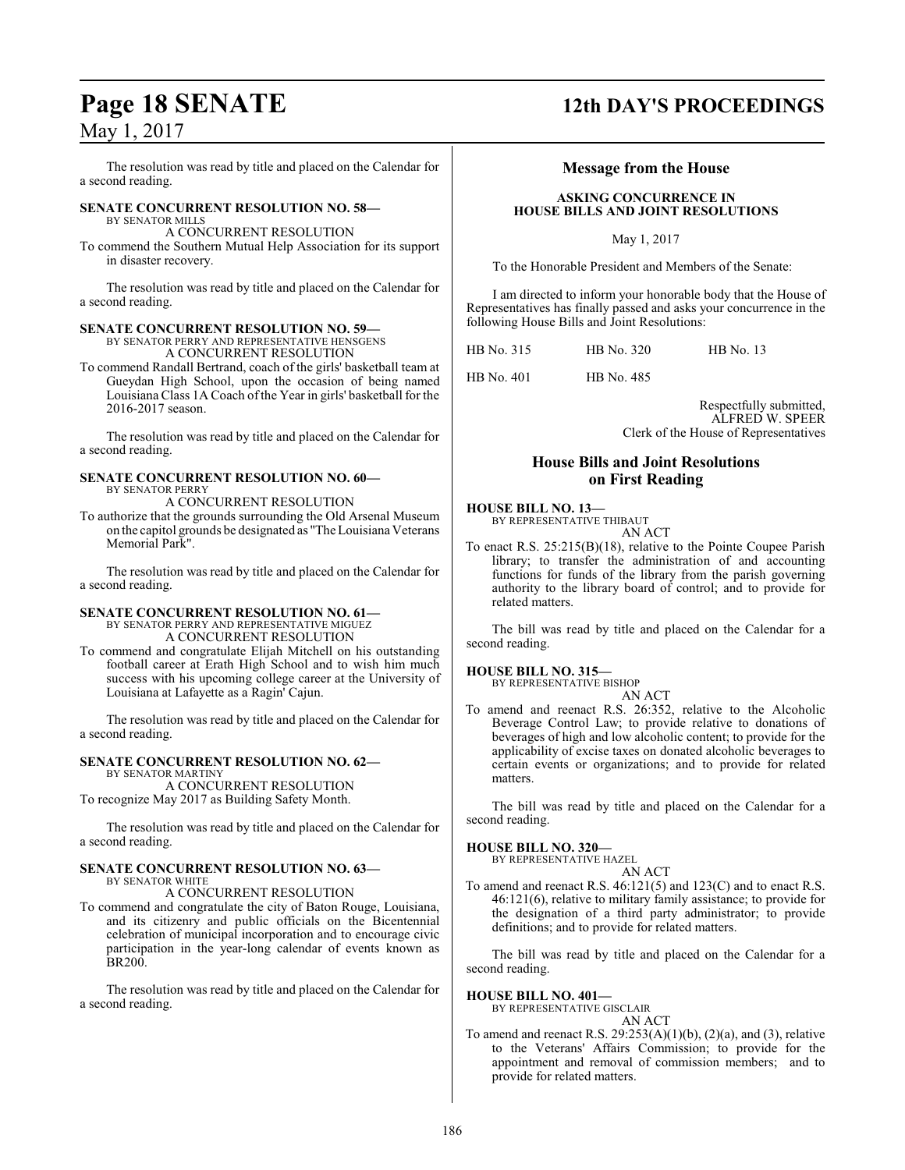The resolution was read by title and placed on the Calendar for a second reading.

#### **SENATE CONCURRENT RESOLUTION NO. 58—** BY SENATOR MILLS

A CONCURRENT RESOLUTION

To commend the Southern Mutual Help Association for its support in disaster recovery.

The resolution was read by title and placed on the Calendar for a second reading.

#### **SENATE CONCURRENT RESOLUTION NO. 59—**

BY SENATOR PERRY AND REPRESENTATIVE HENSGENS

A CONCURRENT RESOLUTION To commend Randall Bertrand, coach of the girls' basketball team at Gueydan High School, upon the occasion of being named Louisiana Class 1A Coach ofthe Year in girls' basketball for the

2016-2017 season. The resolution was read by title and placed on the Calendar for a second reading.

#### **SENATE CONCURRENT RESOLUTION NO. 60—** BY SENATOR PERRY

A CONCURRENT RESOLUTION

To authorize that the grounds surrounding the Old Arsenal Museum on the capitol grounds be designated as "The Louisiana Veterans Memorial Park".

The resolution was read by title and placed on the Calendar for a second reading.

#### **SENATE CONCURRENT RESOLUTION NO. 61—**

BY SENATOR PERRY AND REPRESENTATIVE MIGUEZ A CONCURRENT RESOLUTION

To commend and congratulate Elijah Mitchell on his outstanding football career at Erath High School and to wish him much success with his upcoming college career at the University of Louisiana at Lafayette as a Ragin' Cajun.

The resolution was read by title and placed on the Calendar for a second reading.

## **SENATE CONCURRENT RESOLUTION NO. 62—**

BY SENATOR MARTINY A CONCURRENT RESOLUTION To recognize May 2017 as Building Safety Month.

The resolution was read by title and placed on the Calendar for a second reading.

#### **SENATE CONCURRENT RESOLUTION NO. 63—** BY SENATOR WHITE

A CONCURRENT RESOLUTION

To commend and congratulate the city of Baton Rouge, Louisiana, and its citizenry and public officials on the Bicentennial celebration of municipal incorporation and to encourage civic participation in the year-long calendar of events known as BR200.

The resolution was read by title and placed on the Calendar for a second reading.

# **Page 18 SENATE 12th DAY'S PROCEEDINGS**

#### **Message from the House**

#### **ASKING CONCURRENCE IN HOUSE BILLS AND JOINT RESOLUTIONS**

May 1, 2017

To the Honorable President and Members of the Senate:

I am directed to inform your honorable body that the House of Representatives has finally passed and asks your concurrence in the following House Bills and Joint Resolutions:

HB No. 315 HB No. 320 HB No. 13

HB No. 401 HB No. 485

Respectfully submitted, ALFRED W. SPEER Clerk of the House of Representatives

### **House Bills and Joint Resolutions on First Reading**

#### **HOUSE BILL NO. 13—** BY REPRESENTATIVE THIBAUT

AN ACT

To enact R.S. 25:215(B)(18), relative to the Pointe Coupee Parish library; to transfer the administration of and accounting functions for funds of the library from the parish governing authority to the library board of control; and to provide for related matters.

The bill was read by title and placed on the Calendar for a second reading.

#### **HOUSE BILL NO. 315—**

BY REPRESENTATIVE BISHOP AN ACT

To amend and reenact R.S. 26:352, relative to the Alcoholic Beverage Control Law; to provide relative to donations of beverages of high and low alcoholic content; to provide for the applicability of excise taxes on donated alcoholic beverages to certain events or organizations; and to provide for related matters.

The bill was read by title and placed on the Calendar for a second reading.

#### **HOUSE BILL NO. 320—**

BY REPRESENTATIVE HAZEL AN ACT

To amend and reenact R.S. 46:121(5) and 123(C) and to enact R.S. 46:121(6), relative to military family assistance; to provide for the designation of a third party administrator; to provide definitions; and to provide for related matters.

The bill was read by title and placed on the Calendar for a second reading.

#### **HOUSE BILL NO. 401—**

BY REPRESENTATIVE GISCLAIR

#### AN ACT

To amend and reenact R.S.  $29:253(A)(1)(b)$ ,  $(2)(a)$ , and  $(3)$ , relative to the Veterans' Affairs Commission; to provide for the appointment and removal of commission members; and to provide for related matters.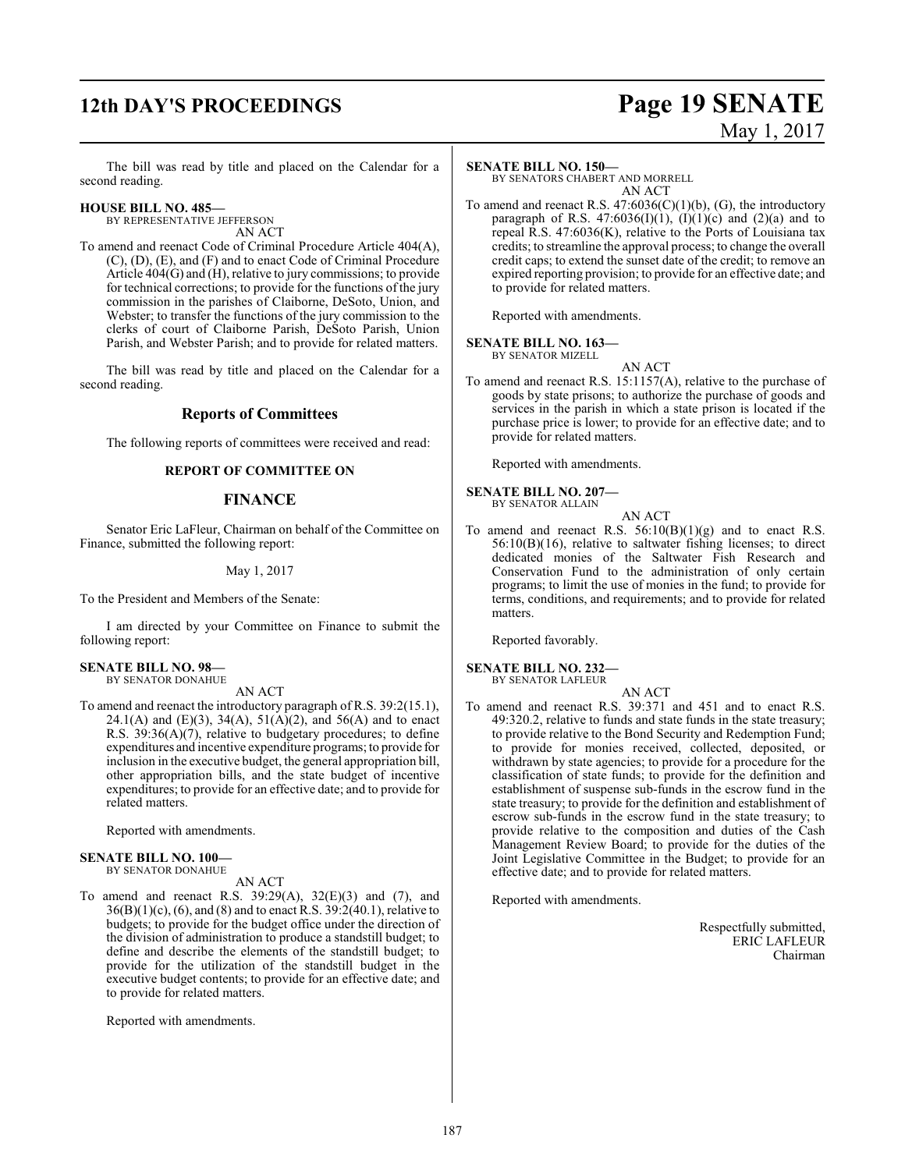# **12th DAY'S PROCEEDINGS Page 19 SENATE**

# May 1, 2017

The bill was read by title and placed on the Calendar for a second reading.

#### **HOUSE BILL NO. 485—** BY REPRESENTATIVE JEFFERSON

AN ACT

To amend and reenact Code of Criminal Procedure Article 404(A), (C), (D), (E), and (F) and to enact Code of Criminal Procedure Article 404(G) and (H), relative to jury commissions; to provide for technical corrections; to provide for the functions of the jury commission in the parishes of Claiborne, DeSoto, Union, and Webster; to transfer the functions of the jury commission to the clerks of court of Claiborne Parish, DeSoto Parish, Union Parish, and Webster Parish; and to provide for related matters.

The bill was read by title and placed on the Calendar for a second reading.

#### **Reports of Committees**

The following reports of committees were received and read:

#### **REPORT OF COMMITTEE ON**

#### **FINANCE**

Senator Eric LaFleur, Chairman on behalf of the Committee on Finance, submitted the following report:

#### May 1, 2017

To the President and Members of the Senate:

I am directed by your Committee on Finance to submit the following report:

#### **SENATE BILL NO. 98—** BY SENATOR DONAHUE

AN ACT

To amend and reenact the introductory paragraph of R.S. 39:2(15.1), 24.1(A) and (E)(3), 34(A), 51(A)(2), and 56(A) and to enact R.S. 39:36(A)(7), relative to budgetary procedures; to define expenditures and incentive expenditure programs; to provide for inclusion in the executive budget, the general appropriation bill, other appropriation bills, and the state budget of incentive expenditures; to provide for an effective date; and to provide for related matters.

Reported with amendments.

#### **SENATE BILL NO. 100—**

## BY SENATOR DONAHUE

- AN ACT
- To amend and reenact R.S.  $39:29(A)$ ,  $32(E)(3)$  and (7), and  $36(B)(1)(c)$ , (6), and (8) and to enact R.S.  $39:2(40.1)$ , relative to budgets; to provide for the budget office under the direction of the division of administration to produce a standstill budget; to define and describe the elements of the standstill budget; to provide for the utilization of the standstill budget in the executive budget contents; to provide for an effective date; and to provide for related matters.

Reported with amendments.

#### **SENATE BILL NO. 150—**

BY SENATORS CHABERT AND MORRELL AN ACT

To amend and reenact R.S.  $47:6036(C)(1)(b)$ , (G), the introductory paragraph of R.S.  $47:6036(I)(1)$ ,  $(I)(1)(c)$  and  $(2)(a)$  and to repeal R.S. 47:6036(K), relative to the Ports of Louisiana tax credits; to streamline the approval process; to change the overall credit caps; to extend the sunset date of the credit; to remove an expired reporting provision; to provide for an effective date; and to provide for related matters.

Reported with amendments.

#### **SENATE BILL NO. 163—**

BY SENATOR MIZELL

AN ACT

To amend and reenact R.S. 15:1157(A), relative to the purchase of goods by state prisons; to authorize the purchase of goods and services in the parish in which a state prison is located if the purchase price is lower; to provide for an effective date; and to provide for related matters.

Reported with amendments.

#### **SENATE BILL NO. 207—**

BY SENATOR ALLAIN

AN ACT To amend and reenact R.S.  $56:10(B)(1)(g)$  and to enact R.S. 56:10(B)(16), relative to saltwater fishing licenses; to direct dedicated monies of the Saltwater Fish Research and Conservation Fund to the administration of only certain programs; to limit the use of monies in the fund; to provide for terms, conditions, and requirements; and to provide for related matters.

Reported favorably.

#### **SENATE BILL NO. 232—** BY SENATOR LAFLEUR

AN ACT

To amend and reenact R.S. 39:371 and 451 and to enact R.S. 49:320.2, relative to funds and state funds in the state treasury; to provide relative to the Bond Security and Redemption Fund; to provide for monies received, collected, deposited, or withdrawn by state agencies; to provide for a procedure for the classification of state funds; to provide for the definition and establishment of suspense sub-funds in the escrow fund in the state treasury; to provide for the definition and establishment of escrow sub-funds in the escrow fund in the state treasury; to provide relative to the composition and duties of the Cash Management Review Board; to provide for the duties of the Joint Legislative Committee in the Budget; to provide for an effective date; and to provide for related matters.

Reported with amendments.

Respectfully submitted, ERIC LAFLEUR Chairman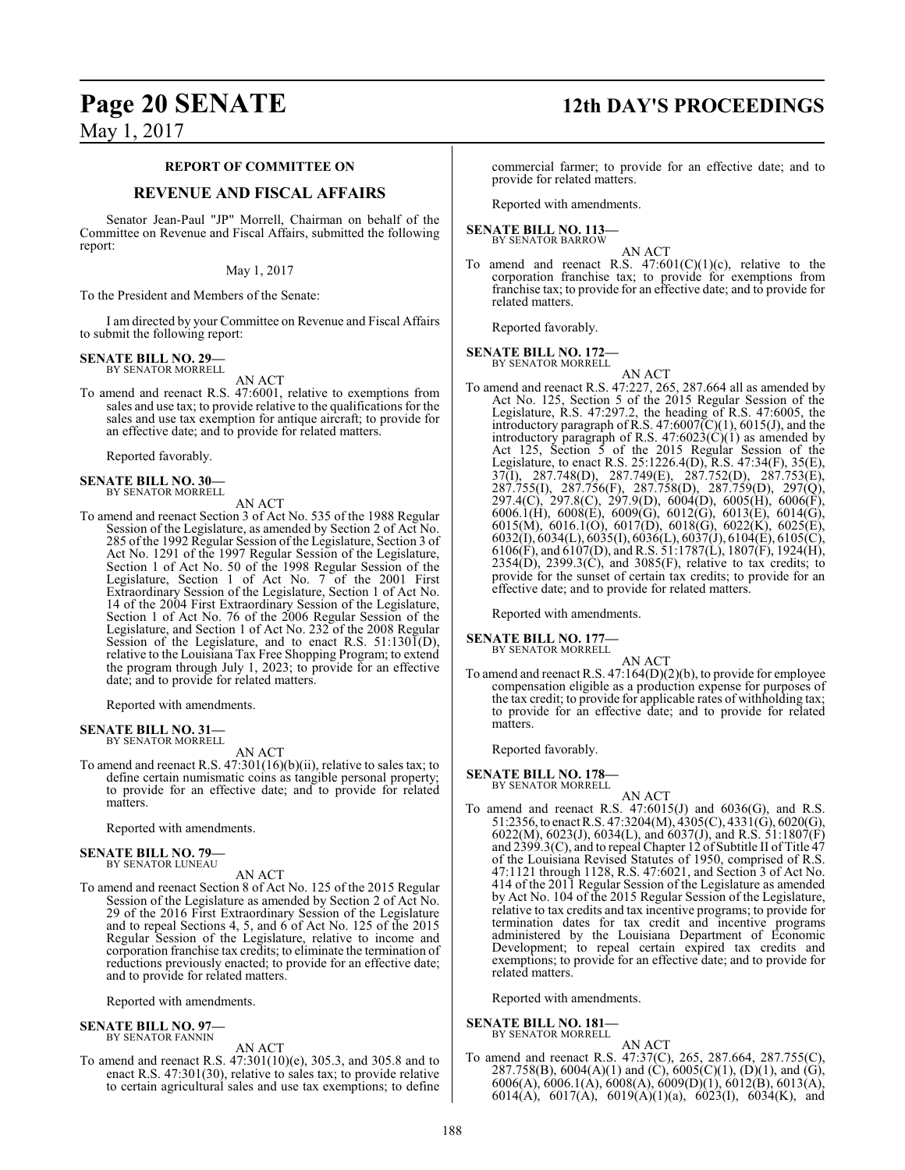#### **REPORT OF COMMITTEE ON**

#### **REVENUE AND FISCAL AFFAIRS**

Senator Jean-Paul "JP" Morrell, Chairman on behalf of the Committee on Revenue and Fiscal Affairs, submitted the following report:

#### May 1, 2017

To the President and Members of the Senate:

I am directed by your Committee on Revenue and Fiscal Affairs to submit the following report:

#### **SENATE BILL NO. 29—** BY SENATOR MORRELL

AN ACT

To amend and reenact R.S. 47:6001, relative to exemptions from sales and use tax; to provide relative to the qualifications for the sales and use tax exemption for antique aircraft; to provide for an effective date; and to provide for related matters.

Reported favorably.

**SENATE BILL NO. 30—** BY SENATOR MORRELL

AN ACT

To amend and reenact Section 3 of Act No. 535 of the 1988 Regular Session of the Legislature, as amended by Section 2 of Act No. 285 of the 1992 Regular Session of the Legislature, Section 3 of Act No. 1291 of the 1997 Regular Session of the Legislature, Section 1 of Act No. 50 of the 1998 Regular Session of the Legislature, Section 1 of Act No. 7 of the 2001 First Extraordinary Session of the Legislature, Section 1 of Act No. 14 of the 2004 First Extraordinary Session of the Legislature, Section 1 of Act No. 76 of the 2006 Regular Session of the Legislature, and Section 1 of Act No. 232 of the 2008 Regular Session of the Legislature, and to enact R.S.  $51:130\overline{1}(D)$ , relative to the Louisiana Tax Free Shopping Program; to extend the program through July 1, 2023; to provide for an effective date; and to provide for related matters.

Reported with amendments.

#### **SENATE BILL NO. 31—** BY SENATOR MORRELL

AN ACT

To amend and reenact R.S.  $47:301(16)(b)(ii)$ , relative to sales tax; to define certain numismatic coins as tangible personal property; to provide for an effective date; and to provide for related matters.

Reported with amendments.

#### **SENATE BILL NO. 79—** BY SENATOR LUNEAU

AN ACT

To amend and reenact Section 8 of Act No. 125 of the 2015 Regular Session of the Legislature as amended by Section 2 of Act No. 29 of the 2016 First Extraordinary Session of the Legislature and to repeal Sections 4, 5, and 6 of Act No. 125 of the 2015 Regular Session of the Legislature, relative to income and corporation franchise tax credits; to eliminate the termination of reductions previously enacted; to provide for an effective date; and to provide for related matters.

Reported with amendments.

#### **SENATE BILL NO. 97—** BY SENATOR FANNIN

AN ACT

To amend and reenact R.S. 47:301(10)(e), 305.3, and 305.8 and to enact R.S. 47:301(30), relative to sales tax; to provide relative to certain agricultural sales and use tax exemptions; to define

# **Page 20 SENATE 12th DAY'S PROCEEDINGS**

commercial farmer; to provide for an effective date; and to provide for related matters.

Reported with amendments.

#### **SENATE BILL NO. 113—** BY SENATOR BARROW

AN ACT

To amend and reenact R.S.  $47:601(C)(1)(c)$ , relative to the corporation franchise tax; to provide for exemptions from franchise tax; to provide for an effective date; and to provide for related matters.

Reported favorably.

# **SENATE BILL NO. 172—** BY SENATOR MORRELL

- AN ACT
- To amend and reenact R.S. 47:227, 265, 287.664 all as amended by Act No. 125, Section 5 of the 2015 Regular Session of the Legislature, R.S. 47:297.2, the heading of R.S. 47:6005, the introductory paragraph of R.S.  $47:6007\text{(C)}(1)$ ,  $6015\text{(J)}$ , and the introductory paragraph of R.S.  $47:6023(\text{C})(1)$  as amended by Act 125, Section 5 of the 2015 Regular Session of the Legislature, to enact R.S. 25:1226.4(D), R.S. 47:34(F), 35(E), 37(I), 287.748(D), 287.749(E), 287.752(D), 287.753(E), 287.755(I), 287.756(F), 287.758(D), 287.759(D), 297(Q), 297.4(C), 297.8(C), 297.9(D), 6004(D), 6005(H), 6006(F), 6006.1(H), 6008(E), 6009(G), 6012(G), 6013(E), 6014(G), 6015(M), 6016.1(O), 6017(D), 6018(G), 6022(K), 6025(E), 6032(I), 6034(L), 6035(I), 6036(L), 6037(J), 6104(E), 6105(C), 6106(F), and 6107(D), and R.S. 51:1787(L), 1807(F), 1924(H),  $2354(D)$ ,  $2399.3(\tilde{C})$ , and  $3085(F)$ , relative to tax credits; to provide for the sunset of certain tax credits; to provide for an effective date; and to provide for related matters.

Reported with amendments.

**SENATE BILL NO. 177** 

BY SENATOR MORRELL

AN ACT To amend and reenact R.S. 47:164(D)(2)(b), to provide for employee compensation eligible as a production expense for purposes of the tax credit; to provide for applicable rates of withholding tax; to provide for an effective date; and to provide for related matters.

Reported favorably.

**SENATE BILL NO. 178—**

BY SENATOR MORRELL

- AN ACT
- To amend and reenact R.S. 47:6015(J) and 6036(G), and R.S. 51:2356,to enact R.S. 47:3204(M), 4305(C), 4331(G), 6020(G), 6022(M), 6023(J), 6034(L), and 6037(J), and R.S. 51:1807(F) and 2399.3(C), and to repeal Chapter 12 ofSubtitle II of Title 47 of the Louisiana Revised Statutes of 1950, comprised of R.S. 47:1121 through 1128, R.S. 47:6021, and Section 3 of Act No. 414 of the 2011 Regular Session of the Legislature as amended by Act No. 104 of the 2015 Regular Session of the Legislature, relative to tax credits and tax incentive programs; to provide for termination dates for tax credit and incentive programs administered by the Louisiana Department of Economic Development; to repeal certain expired tax credits and exemptions; to provide for an effective date; and to provide for related matters.

Reported with amendments.

**SENATE BILL NO. 181—** BY SENATOR MORRELL

AN ACT

To amend and reenact R.S. 47:37(C), 265, 287.664, 287.755(C), 287.758(B),  $6004(A)(1)$  and  $(C)$ ,  $6005(C)(1)$ ,  $(D)(1)$ , and  $(G)$ , 6006(A), 6006.1(A), 6008(A), 6009(D)(1), 6012(B), 6013(A), 6014(A), 6017(A), 6019(A)(1)(a), 6023(I), 6034(K), and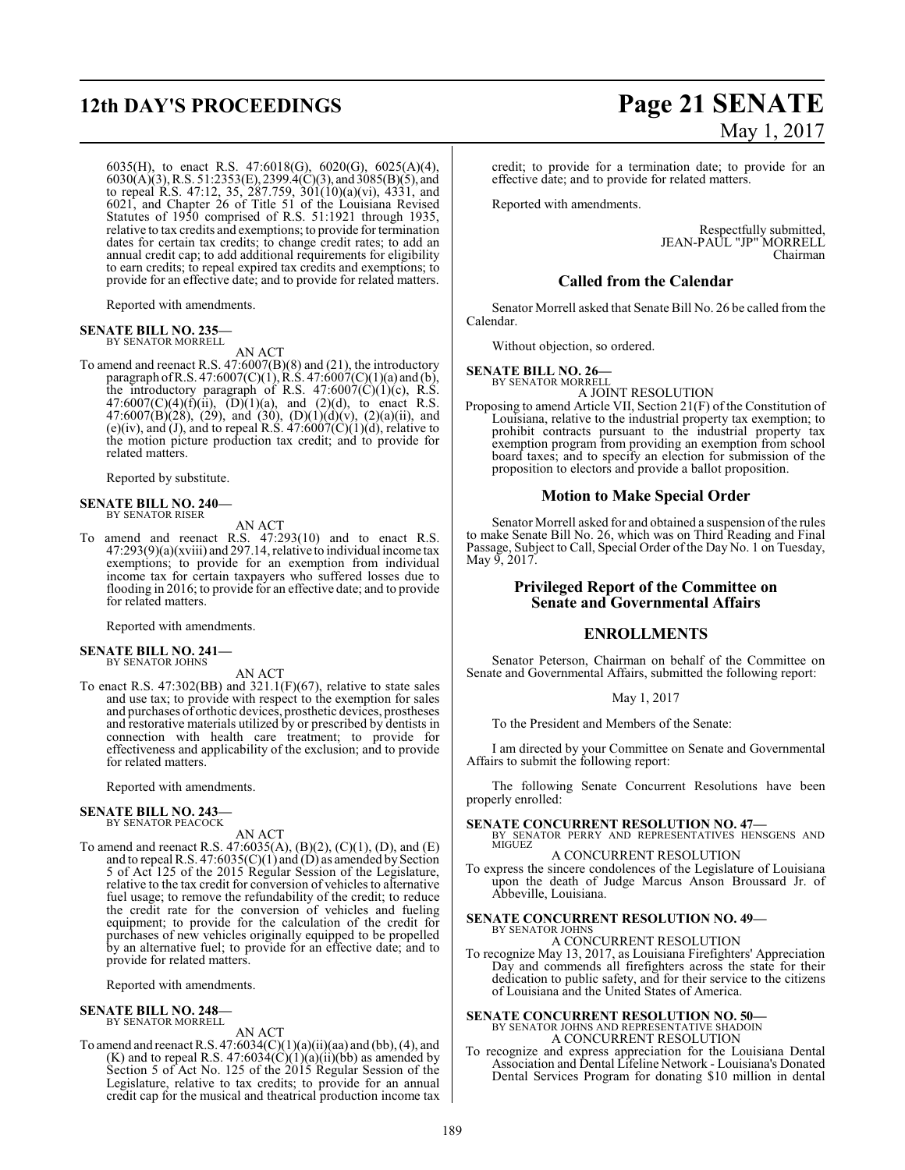# **12th DAY'S PROCEEDINGS Page 21 SENATE**

6035(H), to enact R.S. 47:6018(G), 6020(G), 6025(A)(4), 6030(A)(3), R.S. 51:2353(E), 2399.4(C)(3), and 3085(B)(5), and to repeal R.S. 47:12, 35, 287.759, 301(10)(a)(vi), 4331, and 6021, and Chapter 26 of Title 51 of the Louisiana Revised Statutes of 1950 comprised of R.S. 51:1921 through 1935, relative to tax credits and exemptions; to provide for termination dates for certain tax credits; to change credit rates; to add an annual credit cap; to add additional requirements for eligibility to earn credits; to repeal expired tax credits and exemptions; to provide for an effective date; and to provide for related matters.

Reported with amendments.

#### **SENATE BILL NO. 235—** BY SENATOR MORRELL

AN ACT

To amend and reenact R.S. 47:6007(B)(8) and (21), the introductory paragraph of R.S. 47:6007(C)(1), R.S. 47:6007(C)(1)(a) and (b), the introductory paragraph of R.S.  $47:6007(C)(1)(c)$ , R.S.  $47:6007(C)(4)(f)(ii)$ ,  $(D)(1)(a)$ , and  $(2)(d)$ , to enact R.S. 47:6007(B)(28), (29), and (30), (D)(1)(d)(v), (2)(a)(ii), and (e)(iv), and (J), and to repeal R.S.  $47:6007(C)(1)(d)$ , relative to the motion picture production tax credit; and to provide for related matters.

Reported by substitute.

#### **SENATE BILL NO. 240—** BY SENATOR RISER

AN ACT

To amend and reenact R.S. 47:293(10) and to enact R.S. 47:293(9)(a)(xviii) and 297.14, relative to individual income tax exemptions; to provide for an exemption from individual income tax for certain taxpayers who suffered losses due to flooding in 2016; to provide for an effective date; and to provide for related matters.

Reported with amendments.

#### **SENATE BILL NO. 241—** BY SENATOR JOHNS

AN ACT

To enact R.S. 47:302(BB) and 321.1(F)(67), relative to state sales and use tax; to provide with respect to the exemption for sales and purchases of orthotic devices, prosthetic devices, prostheses and restorative materials utilized by or prescribed by dentists in connection with health care treatment; to provide for effectiveness and applicability of the exclusion; and to provide for related matters.

Reported with amendments.

# **SENATE BILL NO. 243—** BY SENATOR PEACOCK

AN ACT

To amend and reenact R.S. 47:6035(A), (B)(2), (C)(1), (D), and (E) and to repeal R.S.  $47:6035(C)(1)$  and  $(D)$  as amended by Section 5 of Act 125 of the 2015 Regular Session of the Legislature, relative to the tax credit for conversion of vehicles to alternative fuel usage; to remove the refundability of the credit; to reduce the credit rate for the conversion of vehicles and fueling equipment; to provide for the calculation of the credit for purchases of new vehicles originally equipped to be propelled by an alternative fuel; to provide for an effective date; and to provide for related matters.

Reported with amendments.

#### **SENATE BILL NO. 248—** BY SENATOR MORRELL

AN ACT

To amend and reenact R.S.  $47:6034(C)(1)(a)(ii)(aa)$  and (bb), (4), and  $(K)$  and to repeal R.S. 47:6034 $(C)(1)(a)(ii)(bb)$  as amended by Section 5 of Act No. 125 of the 2015 Regular Session of the Legislature, relative to tax credits; to provide for an annual credit cap for the musical and theatrical production income tax

# May 1, 2017

credit; to provide for a termination date; to provide for an effective date; and to provide for related matters.

Reported with amendments.

Respectfully submitted, JEAN-PAUL "JP" MORRELL Chairman

#### **Called from the Calendar**

Senator Morrell asked that Senate Bill No. 26 be called from the Calendar.

Without objection, so ordered.

#### **SENATE BILL NO. 26—** BY SENATOR MORRELL

A JOINT RESOLUTION

Proposing to amend Article VII, Section 21(F) of the Constitution of Louisiana, relative to the industrial property tax exemption; to prohibit contracts pursuant to the industrial property tax exemption program from providing an exemption from school board taxes; and to specify an election for submission of the proposition to electors and provide a ballot proposition.

#### **Motion to Make Special Order**

Senator Morrell asked for and obtained a suspension of the rules to make Senate Bill No. 26, which was on Third Reading and Final Passage, Subject to Call, Special Order of the Day No. 1 on Tuesday, May 9, 2017.

#### **Privileged Report of the Committee on Senate and Governmental Affairs**

#### **ENROLLMENTS**

Senator Peterson, Chairman on behalf of the Committee on Senate and Governmental Affairs, submitted the following report:

#### May 1, 2017

To the President and Members of the Senate:

I am directed by your Committee on Senate and Governmental Affairs to submit the following report:

The following Senate Concurrent Resolutions have been properly enrolled:

**SENATE CONCURRENT RESOLUTION NO. 47—**<br>BY SENATOR PERRY AND REPRESENTATIVES HENSGENS AND MIGUEZ

### A CONCURRENT RESOLUTION

To express the sincere condolences of the Legislature of Louisiana upon the death of Judge Marcus Anson Broussard Jr. of Abbeville, Louisiana.

#### **SENATE CONCURRENT RESOLUTION NO. 49—** BY SENATOR JOHNS

A CONCURRENT RESOLUTION

To recognize May 13, 2017, as Louisiana Firefighters' Appreciation Day and commends all firefighters across the state for their dedication to public safety, and for their service to the citizens of Louisiana and the United States of America.

# **SENATE CONCURRENT RESOLUTION NO. 50—**

BY SENATOR JOHNS AND REPRESENTATIVE SHADOIN A CONCURRENT RESOLUTION

To recognize and express appreciation for the Louisiana Dental Association and Dental Lifeline Network - Louisiana's Donated Dental Services Program for donating \$10 million in dental